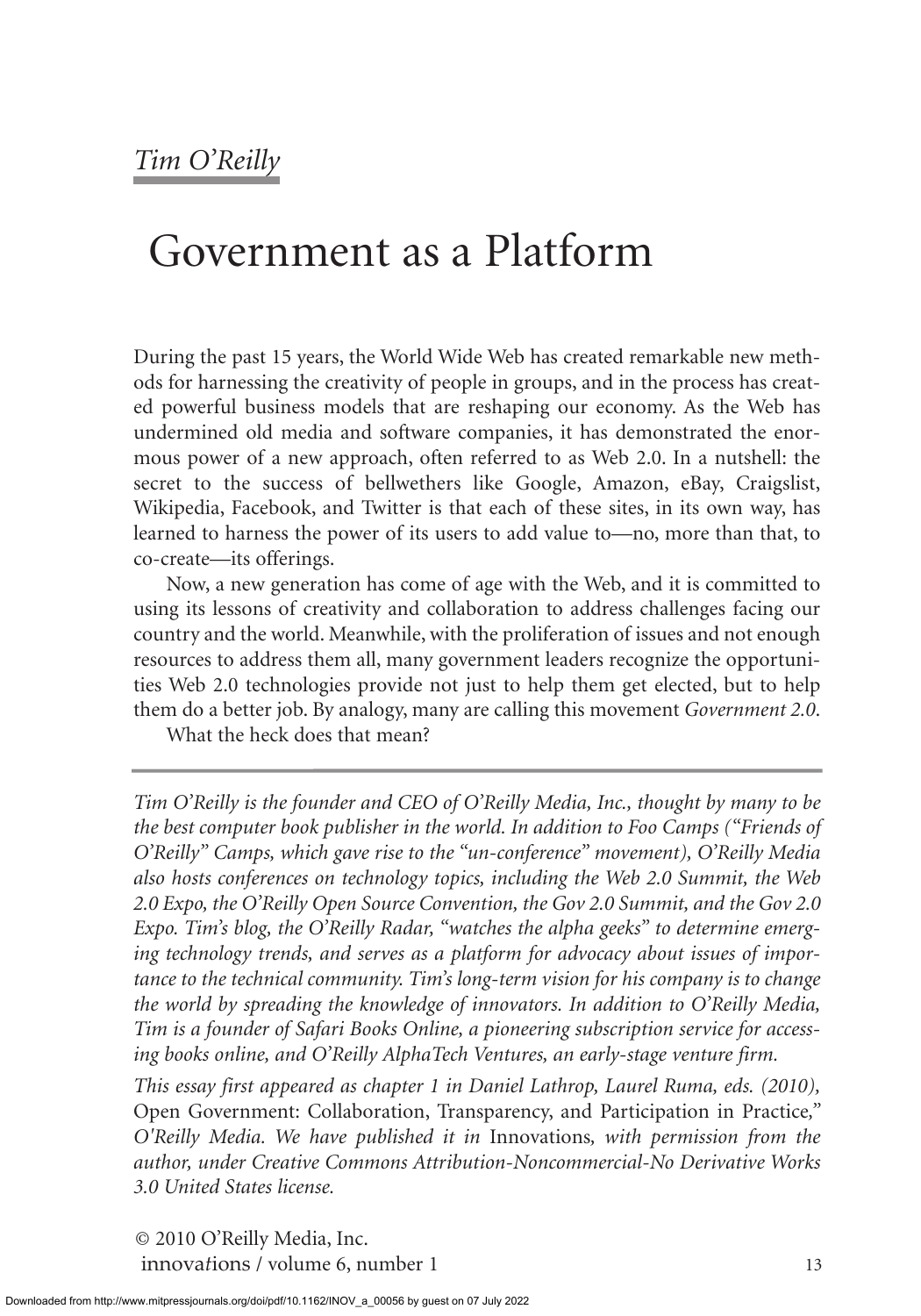# Government as a Platform

During the past 15 years, the World Wide Web has created remarkable new methods for harnessing the creativity of people in groups, and in the process has created powerful business models that are reshaping our economy. As the Web has undermined old media and software companies, it has demonstrated the enormous power of a new approach, often referred to as Web 2.0. In a nutshell: the secret to the success of bellwethers like Google, Amazon, eBay, Craigslist, Wikipedia, Facebook, and Twitter is that each of these sites, in its own way, has learned to harness the power of its users to add value to—no, more than that, to co-create—its offerings.

Now, a new generation has come of age with the Web, and it is committed to using its lessons of creativity and collaboration to address challenges facing our country and the world. Meanwhile, with the proliferation of issues and not enough resources to address them all, many government leaders recognize the opportunities Web 2.0 technologies provide not just to help them get elected, but to help them do a better job. By analogy, many are calling this movement *Government 2.0*.

What the heck does that mean?

*Tim O'Reilly is the founder and CEO of O'Reilly Media, Inc., thought by many to be the best computer book publisher in the world. In addition to Foo Camps ("Friends of O'Reilly" Camps, which gave rise to the "un-conference" movement), O'Reilly Media also hosts conferences on technology topics, including the Web 2.0 Summit, the Web 2.0 Expo, the O'Reilly Open Source Convention, the Gov 2.0 Summit, and the Gov 2.0 Expo. Tim's blog, the O'Reilly Radar, "watches the alpha geeks" to determine emerging technology trends, and serves as a platform for advocacy about issues of importance to the technical community. Tim's long-term vision for his company is to change the world by spreading the knowledge of innovators. In addition to O'Reilly Media, Tim is a founder of Safari Books Online, a pioneering subscription service for accessing books online, and O'Reilly AlphaTech Ventures, an early-stage venture firm.*

*This essay first appeared as chapter 1 in Daniel Lathrop, Laurel Ruma, eds. (2010),* Open Government: Collaboration, Transparency, and Participation in Practice*," O'Reilly Media. We have published it in* Innovations*, with permission from the author, under Creative Commons Attribution-Noncommercial-No Derivative Works 3.0 United States license.*

© 2010 O'Reilly Media, Inc. innovations / volume 6, number 1 13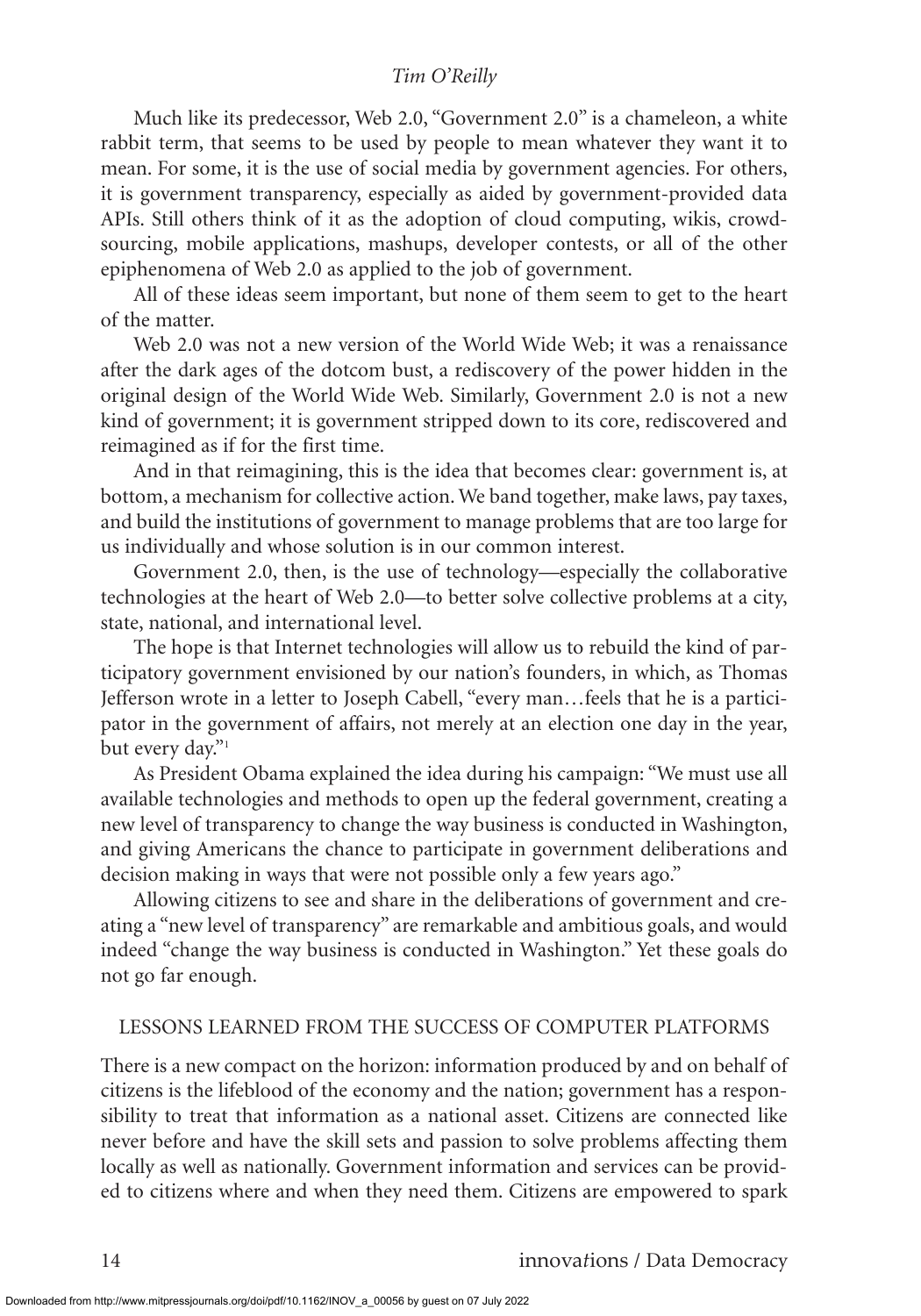Much like its predecessor, Web 2.0, "Government 2.0" is a chameleon, a white rabbit term, that seems to be used by people to mean whatever they want it to mean. For some, it is the use of social media by government agencies. For others, it is government transparency, especially as aided by government-provided data APIs. Still others think of it as the adoption of cloud computing, wikis, crowdsourcing, mobile applications, mashups, developer contests, or all of the other epiphenomena of Web 2.0 as applied to the job of government.

All of these ideas seem important, but none of them seem to get to the heart of the matter.

Web 2.0 was not a new version of the World Wide Web; it was a renaissance after the dark ages of the dotcom bust, a rediscovery of the power hidden in the original design of the World Wide Web. Similarly, Government 2.0 is not a new kind of government; it is government stripped down to its core, rediscovered and reimagined as if for the first time.

And in that reimagining, this is the idea that becomes clear: government is, at bottom, a mechanism for collective action. We band together, make laws, pay taxes, and build the institutions of government to manage problems that are too large for us individually and whose solution is in our common interest.

Government 2.0, then, is the use of technology—especially the collaborative technologies at the heart of Web 2.0—to better solve collective problems at a city, state, national, and international level.

The hope is that Internet technologies will allow us to rebuild the kind of participatory government envisioned by our nation's founders, in which, as Thomas Jefferson wrote in a letter to Joseph Cabell, "every man…feels that he is a participator in the government of affairs, not merely at an election one day in the year, but every day."<sup>1</sup>

As President Obama explained the idea during his campaign: "We must use all available technologies and methods to open up the federal government, creating a new level of transparency to change the way business is conducted in Washington, and giving Americans the chance to participate in government deliberations and decision making in ways that were not possible only a few years ago."

Allowing citizens to see and share in the deliberations of government and creating a "new level of transparency" are remarkable and ambitious goals, and would indeed "change the way business is conducted in Washington." Yet these goals do not go far enough.

#### LESSONS LEARNED FROM THE SUCCESS OF COMPUTER PLATFORMS

There is a new compact on the horizon: information produced by and on behalf of citizens is the lifeblood of the economy and the nation; government has a responsibility to treat that information as a national asset. Citizens are connected like never before and have the skill sets and passion to solve problems affecting them locally as well as nationally. Government information and services can be provided to citizens where and when they need them. Citizens are empowered to spark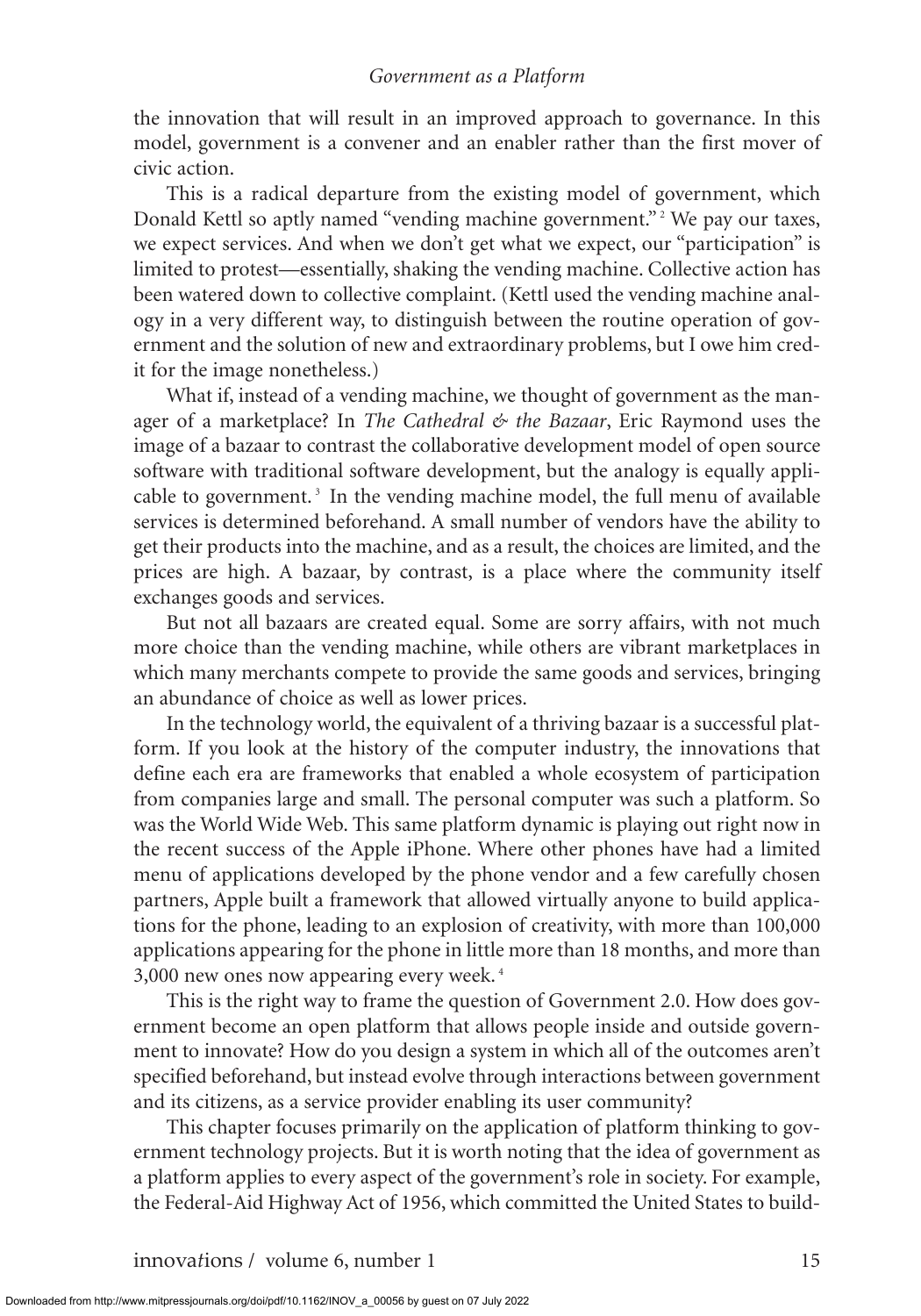the innovation that will result in an improved approach to governance. In this model, government is a convener and an enabler rather than the first mover of civic action.

This is a radical departure from the existing model of government, which Donald Kettl so aptly named "vending machine government."<sup>2</sup> We pay our taxes, we expect services. And when we don't get what we expect, our "participation" is limited to protest—essentially, shaking the vending machine. Collective action has been watered down to collective complaint. (Kettl used the vending machine analogy in a very different way, to distinguish between the routine operation of government and the solution of new and extraordinary problems, but I owe him credit for the image nonetheless.)

What if, instead of a vending machine, we thought of government as the manager of a marketplace? In *The Cathedral & the Bazaar*, Eric Raymond uses the image of a bazaar to contrast the collaborative development model of open source software with traditional software development, but the analogy is equally applicable to government.<sup>3</sup> In the vending machine model, the full menu of available services is determined beforehand. A small number of vendors have the ability to get their products into the machine, and as a result, the choices are limited, and the prices are high. A bazaar, by contrast, is a place where the community itself exchanges goods and services.

But not all bazaars are created equal. Some are sorry affairs, with not much more choice than the vending machine, while others are vibrant marketplaces in which many merchants compete to provide the same goods and services, bringing an abundance of choice as well as lower prices.

In the technology world, the equivalent of a thriving bazaar is a successful platform. If you look at the history of the computer industry, the innovations that define each era are frameworks that enabled a whole ecosystem of participation from companies large and small. The personal computer was such a platform. So was the World Wide Web. This same platform dynamic is playing out right now in the recent success of the Apple iPhone. Where other phones have had a limited menu of applications developed by the phone vendor and a few carefully chosen partners, Apple built a framework that allowed virtually anyone to build applications for the phone, leading to an explosion of creativity, with more than 100,000 applications appearing for the phone in little more than 18 months, and more than 3,000 new ones now appearing every week. <sup>4</sup>

This is the right way to frame the question of Government 2.0. How does government become an open platform that allows people inside and outside government to innovate? How do you design a system in which all of the outcomes aren't specified beforehand, but instead evolve through interactions between government and its citizens, as a service provider enabling its user community?

This chapter focuses primarily on the application of platform thinking to government technology projects. But it is worth noting that the idea of government as a platform applies to every aspect of the government's role in society. For example, the Federal-Aid Highway Act of 1956, which committed the United States to build-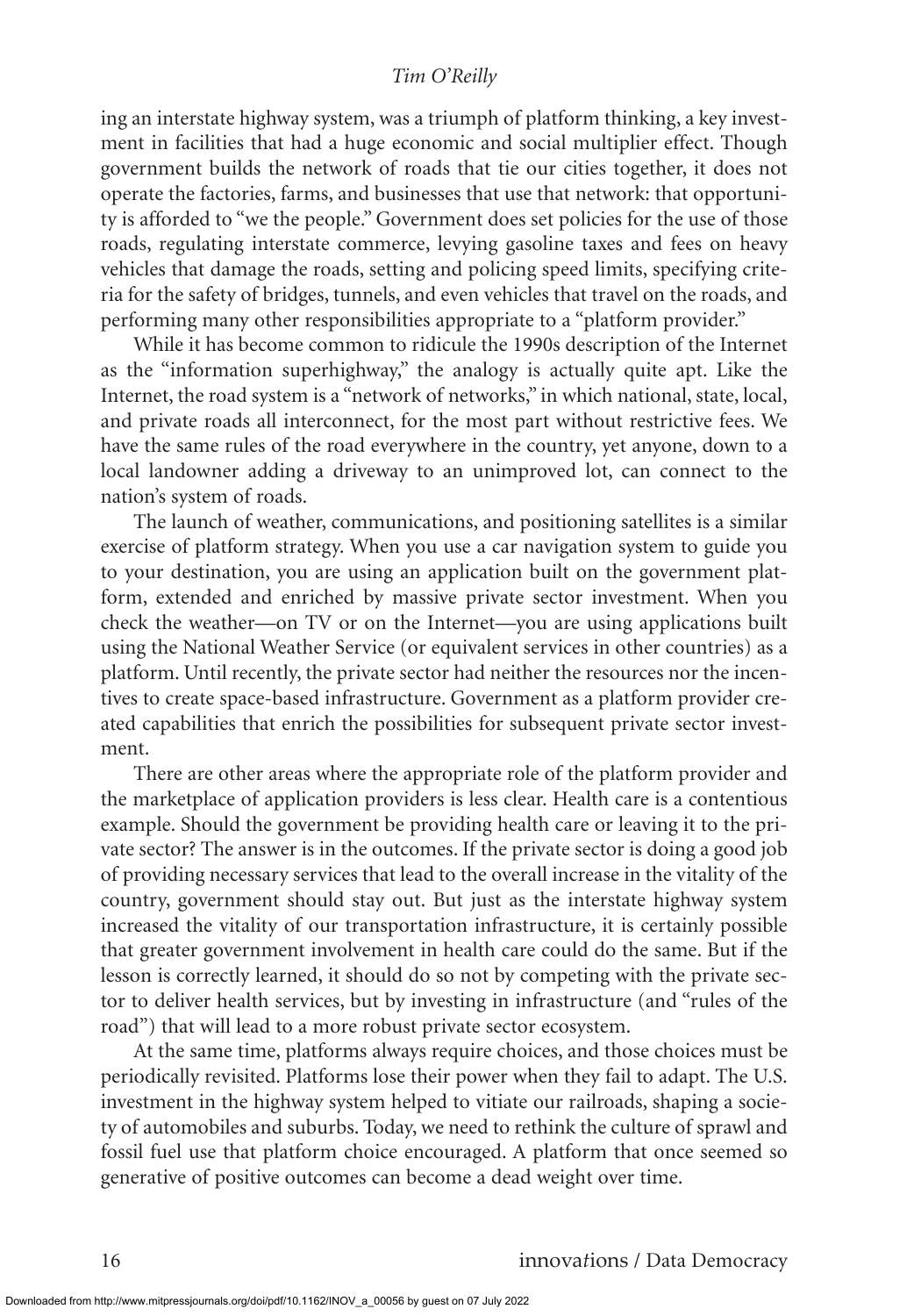ing an interstate highway system, was a triumph of platform thinking, a key investment in facilities that had a huge economic and social multiplier effect. Though government builds the network of roads that tie our cities together, it does not operate the factories, farms, and businesses that use that network: that opportunity is afforded to "we the people." Government does set policies for the use of those roads, regulating interstate commerce, levying gasoline taxes and fees on heavy vehicles that damage the roads, setting and policing speed limits, specifying criteria for the safety of bridges, tunnels, and even vehicles that travel on the roads, and performing many other responsibilities appropriate to a "platform provider."

While it has become common to ridicule the 1990s description of the Internet as the "information superhighway," the analogy is actually quite apt. Like the Internet, the road system is a "network of networks," in which national, state, local, and private roads all interconnect, for the most part without restrictive fees. We have the same rules of the road everywhere in the country, yet anyone, down to a local landowner adding a driveway to an unimproved lot, can connect to the nation's system of roads.

The launch of weather, communications, and positioning satellites is a similar exercise of platform strategy. When you use a car navigation system to guide you to your destination, you are using an application built on the government platform, extended and enriched by massive private sector investment. When you check the weather—on TV or on the Internet—you are using applications built using the National Weather Service (or equivalent services in other countries) as a platform. Until recently, the private sector had neither the resources nor the incentives to create space-based infrastructure. Government as a platform provider created capabilities that enrich the possibilities for subsequent private sector investment.

There are other areas where the appropriate role of the platform provider and the marketplace of application providers is less clear. Health care is a contentious example. Should the government be providing health care or leaving it to the private sector? The answer is in the outcomes. If the private sector is doing a good job of providing necessary services that lead to the overall increase in the vitality of the country, government should stay out. But just as the interstate highway system increased the vitality of our transportation infrastructure, it is certainly possible that greater government involvement in health care could do the same. But if the lesson is correctly learned, it should do so not by competing with the private sector to deliver health services, but by investing in infrastructure (and "rules of the road") that will lead to a more robust private sector ecosystem.

At the same time, platforms always require choices, and those choices must be periodically revisited. Platforms lose their power when they fail to adapt. The U.S. investment in the highway system helped to vitiate our railroads, shaping a society of automobiles and suburbs. Today, we need to rethink the culture of sprawl and fossil fuel use that platform choice encouraged. A platform that once seemed so generative of positive outcomes can become a dead weight over time.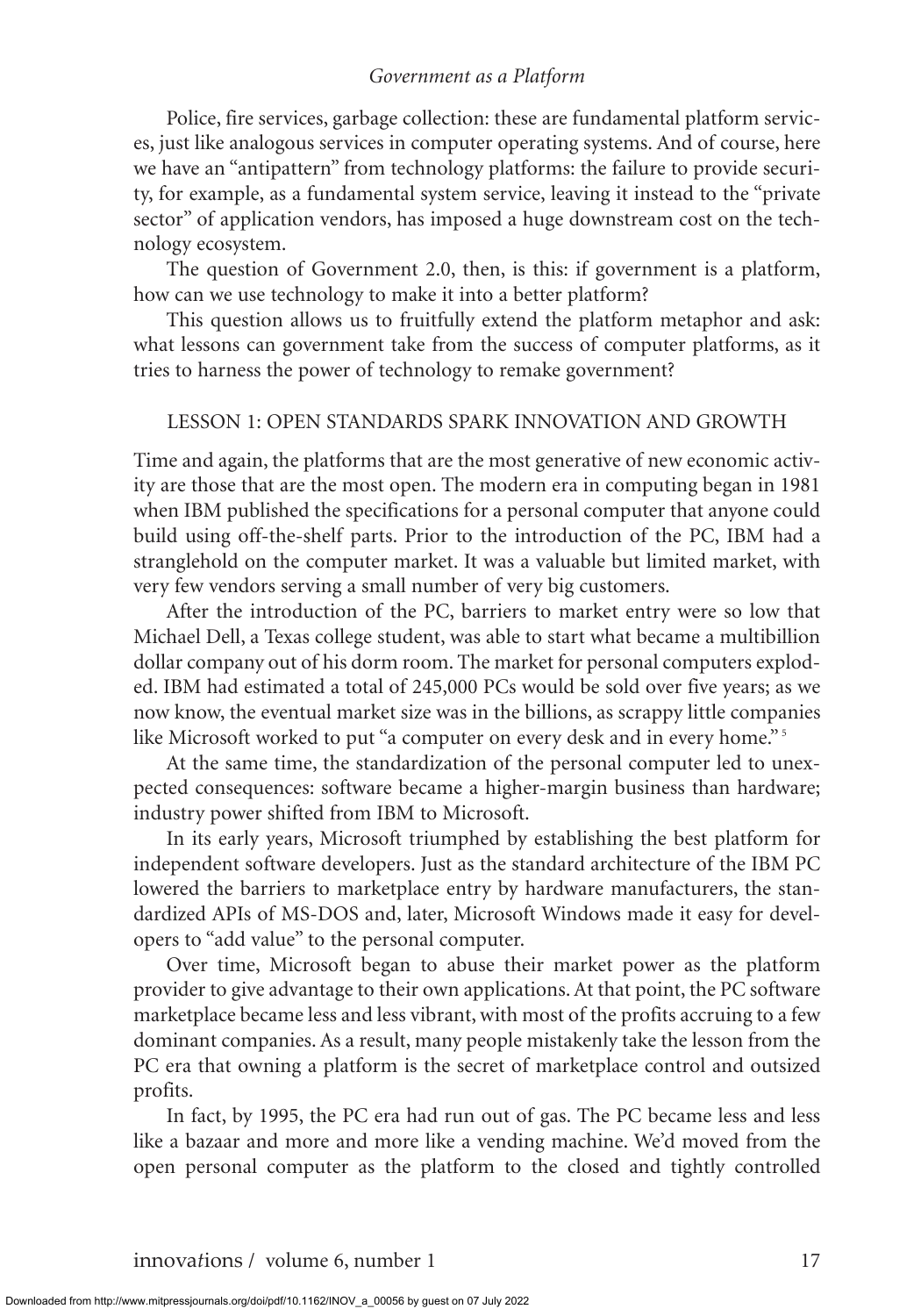#### *Government as a Platform*

Police, fire services, garbage collection: these are fundamental platform services, just like analogous services in computer operating systems. And of course, here we have an "antipattern" from technology platforms: the failure to provide security, for example, as a fundamental system service, leaving it instead to the "private sector" of application vendors, has imposed a huge downstream cost on the technology ecosystem.

The question of Government 2.0, then, is this: if government is a platform, how can we use technology to make it into a better platform?

This question allows us to fruitfully extend the platform metaphor and ask: what lessons can government take from the success of computer platforms, as it tries to harness the power of technology to remake government?

#### LESSON 1: OPEN STANDARDS SPARK INNOVATION AND GROWTH

Time and again, the platforms that are the most generative of new economic activity are those that are the most open. The modern era in computing began in 1981 when IBM published the specifications for a personal computer that anyone could build using off-the-shelf parts. Prior to the introduction of the PC, IBM had a stranglehold on the computer market. It was a valuable but limited market, with very few vendors serving a small number of very big customers.

After the introduction of the PC, barriers to market entry were so low that Michael Dell, a Texas college student, was able to start what became a multibillion dollar company out of his dorm room. The market for personal computers exploded. IBM had estimated a total of 245,000 PCs would be sold over five years; as we now know, the eventual market size was in the billions, as scrappy little companies like Microsoft worked to put "a computer on every desk and in every home."<sup>5</sup>

At the same time, the standardization of the personal computer led to unexpected consequences: software became a higher-margin business than hardware; industry power shifted from IBM to Microsoft.

In its early years, Microsoft triumphed by establishing the best platform for independent software developers. Just as the standard architecture of the IBM PC lowered the barriers to marketplace entry by hardware manufacturers, the standardized APIs of MS-DOS and, later, Microsoft Windows made it easy for developers to "add value" to the personal computer.

Over time, Microsoft began to abuse their market power as the platform provider to give advantage to their own applications. At that point, the PC software marketplace became less and less vibrant, with most of the profits accruing to a few dominant companies. As a result, many people mistakenly take the lesson from the PC era that owning a platform is the secret of marketplace control and outsized profits.

In fact, by 1995, the PC era had run out of gas. The PC became less and less like a bazaar and more and more like a vending machine. We'd moved from the open personal computer as the platform to the closed and tightly controlled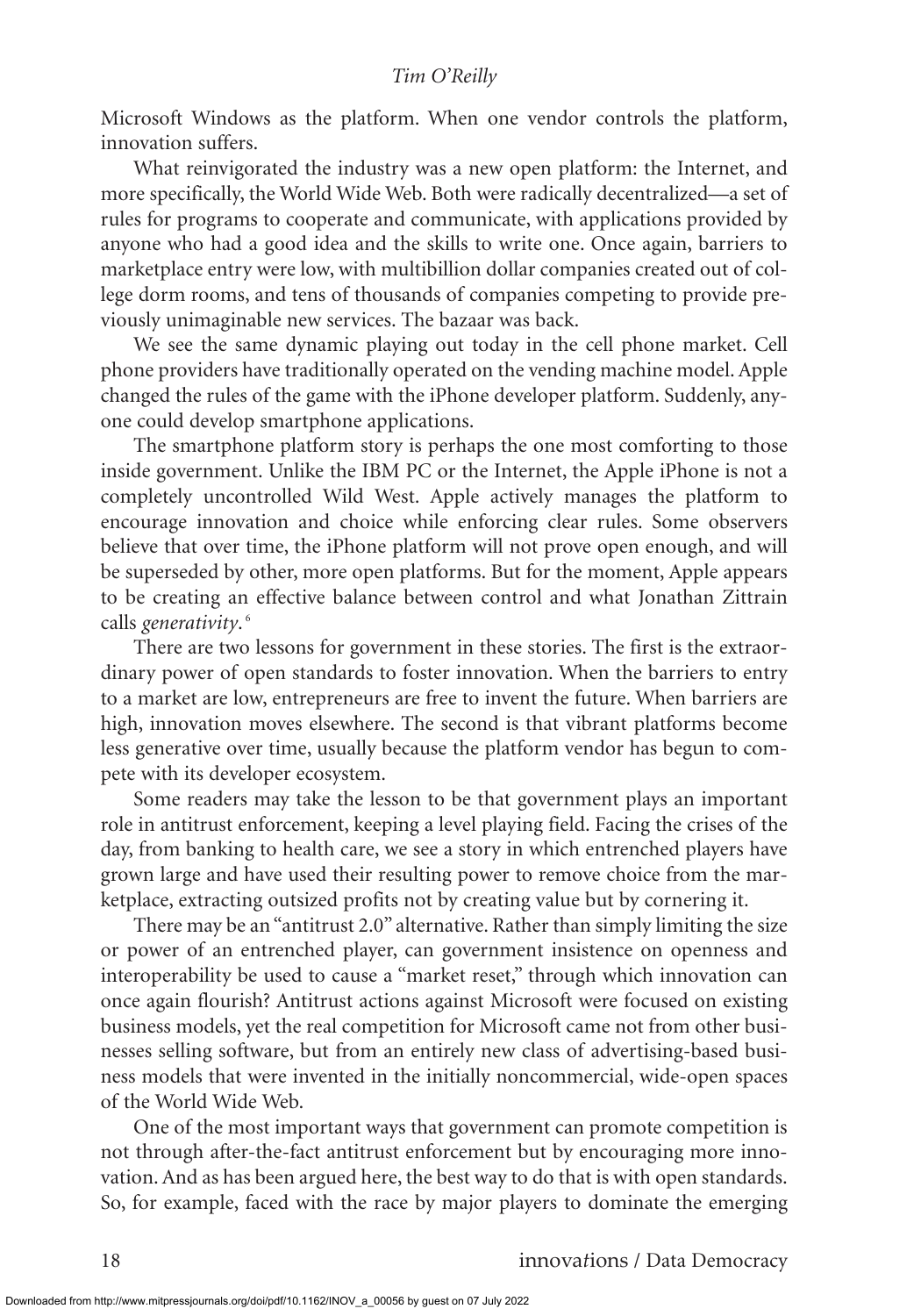Microsoft Windows as the platform. When one vendor controls the platform, innovation suffers.

What reinvigorated the industry was a new open platform: the Internet, and more specifically, the World Wide Web. Both were radically decentralized—a set of rules for programs to cooperate and communicate, with applications provided by anyone who had a good idea and the skills to write one. Once again, barriers to marketplace entry were low, with multibillion dollar companies created out of college dorm rooms, and tens of thousands of companies competing to provide previously unimaginable new services. The bazaar was back.

We see the same dynamic playing out today in the cell phone market. Cell phone providers have traditionally operated on the vending machine model. Apple changed the rules of the game with the iPhone developer platform. Suddenly, anyone could develop smartphone applications.

The smartphone platform story is perhaps the one most comforting to those inside government. Unlike the IBM PC or the Internet, the Apple iPhone is not a completely uncontrolled Wild West. Apple actively manages the platform to encourage innovation and choice while enforcing clear rules. Some observers believe that over time, the iPhone platform will not prove open enough, and will be superseded by other, more open platforms. But for the moment, Apple appears to be creating an effective balance between control and what Jonathan Zittrain calls *generativity*. <sup>6</sup>

There are two lessons for government in these stories. The first is the extraordinary power of open standards to foster innovation. When the barriers to entry to a market are low, entrepreneurs are free to invent the future. When barriers are high, innovation moves elsewhere. The second is that vibrant platforms become less generative over time, usually because the platform vendor has begun to compete with its developer ecosystem.

Some readers may take the lesson to be that government plays an important role in antitrust enforcement, keeping a level playing field. Facing the crises of the day, from banking to health care, we see a story in which entrenched players have grown large and have used their resulting power to remove choice from the marketplace, extracting outsized profits not by creating value but by cornering it.

There may be an "antitrust 2.0" alternative. Rather than simply limiting the size or power of an entrenched player, can government insistence on openness and interoperability be used to cause a "market reset," through which innovation can once again flourish? Antitrust actions against Microsoft were focused on existing business models, yet the real competition for Microsoft came not from other businesses selling software, but from an entirely new class of advertising-based business models that were invented in the initially noncommercial, wide-open spaces of the World Wide Web.

One of the most important ways that government can promote competition is not through after-the-fact antitrust enforcement but by encouraging more innovation. And as has been argued here, the best way to do that is with open standards. So, for example, faced with the race by major players to dominate the emerging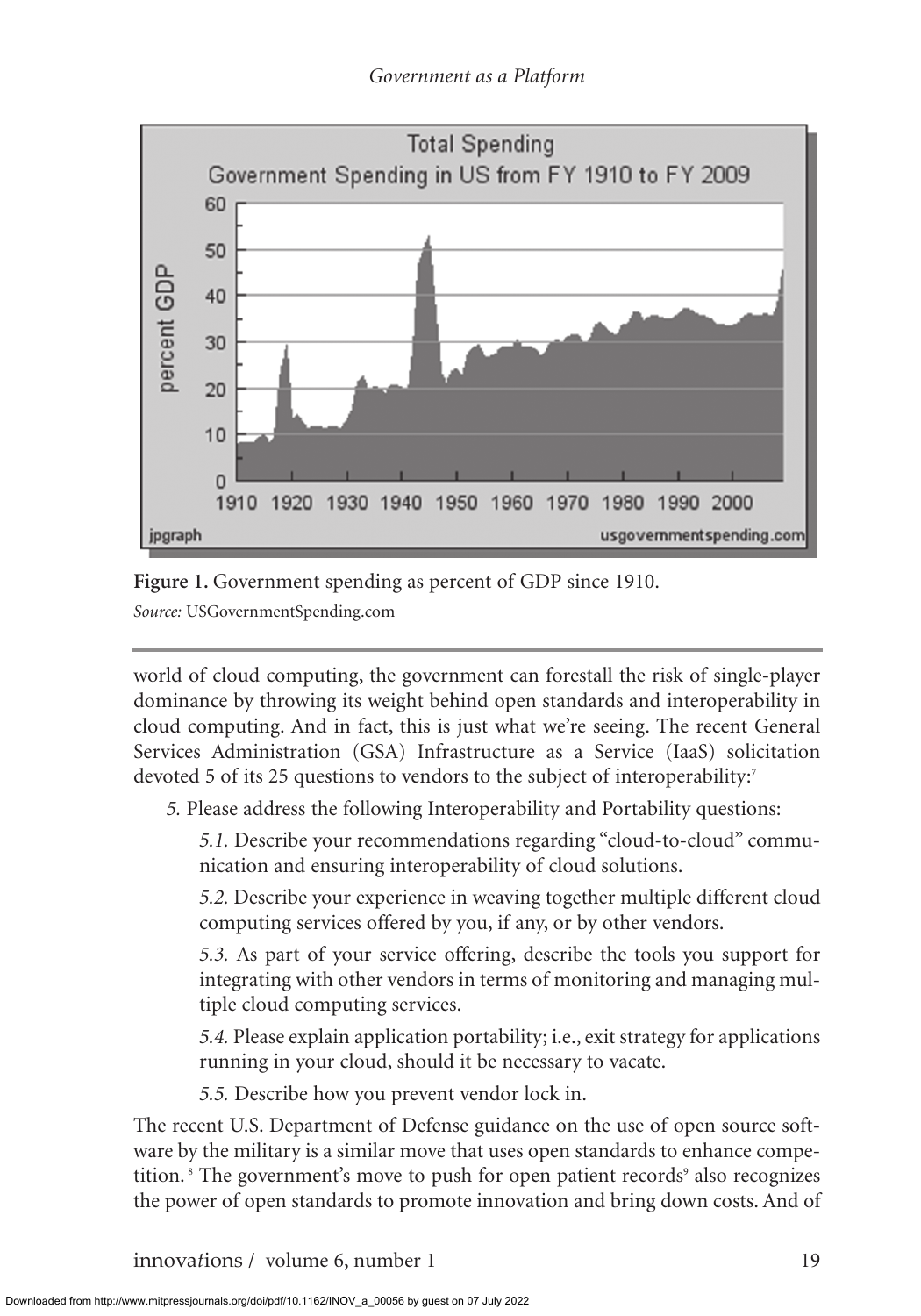



*Source:* USGovernmentSpending.com

world of cloud computing, the government can forestall the risk of single-player dominance by throwing its weight behind open standards and interoperability in cloud computing. And in fact, this is just what we're seeing. The recent General Services Administration (GSA) Infrastructure as a Service (IaaS) solicitation devoted 5 of its 25 questions to vendors to the subject of interoperability:<sup>7</sup>

*5.* Please address the following Interoperability and Portability questions:

*5.1.* Describe your recommendations regarding "cloud-to-cloud" communication and ensuring interoperability of cloud solutions.

*5.2.* Describe your experience in weaving together multiple different cloud computing services offered by you, if any, or by other vendors.

*5.3.* As part of your service offering, describe the tools you support for integrating with other vendors in terms of monitoring and managing multiple cloud computing services.

*5.4.* Please explain application portability; i.e., exit strategy for applications running in your cloud, should it be necessary to vacate.

*5.5.* Describe how you prevent vendor lock in.

The recent U.S. Department of Defense guidance on the use of open source software by the military is a similar move that uses open standards to enhance competition.<sup>8</sup> The government's move to push for open patient records<sup>9</sup> also recognizes the power of open standards to promote innovation and bring down costs. And of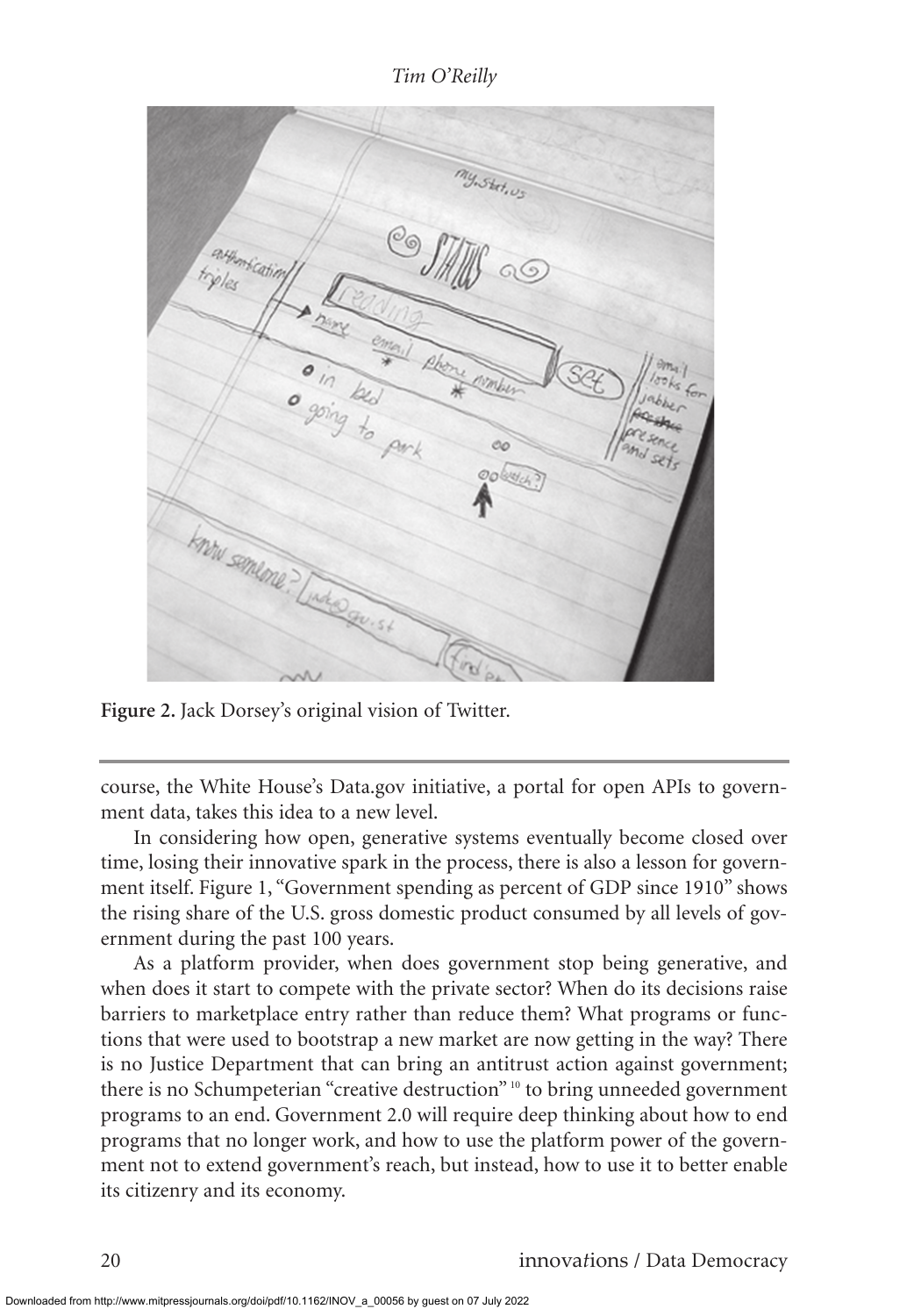*Tim O'Reilly*

my<sub>o</sub>station asthmscating triples 0064 know semane? Links

**Figure 2.** Jack Dorsey's original vision of Twitter.

course, the White House's Data.gov initiative, a portal for open APIs to government data, takes this idea to a new level.

In considering how open, generative systems eventually become closed over time, losing their innovative spark in the process, there is also a lesson for government itself. Figure 1, "Government spending as percent of GDP since 1910" shows the rising share of the U.S. gross domestic product consumed by all levels of government during the past 100 years.

As a platform provider, when does government stop being generative, and when does it start to compete with the private sector? When do its decisions raise barriers to marketplace entry rather than reduce them? What programs or functions that were used to bootstrap a new market are now getting in the way? There is no Justice Department that can bring an antitrust action against government; there is no Schumpeterian "creative destruction" <sup>10</sup> to bring unneeded government programs to an end. Government 2.0 will require deep thinking about how to end programs that no longer work, and how to use the platform power of the government not to extend government's reach, but instead, how to use it to better enable its citizenry and its economy.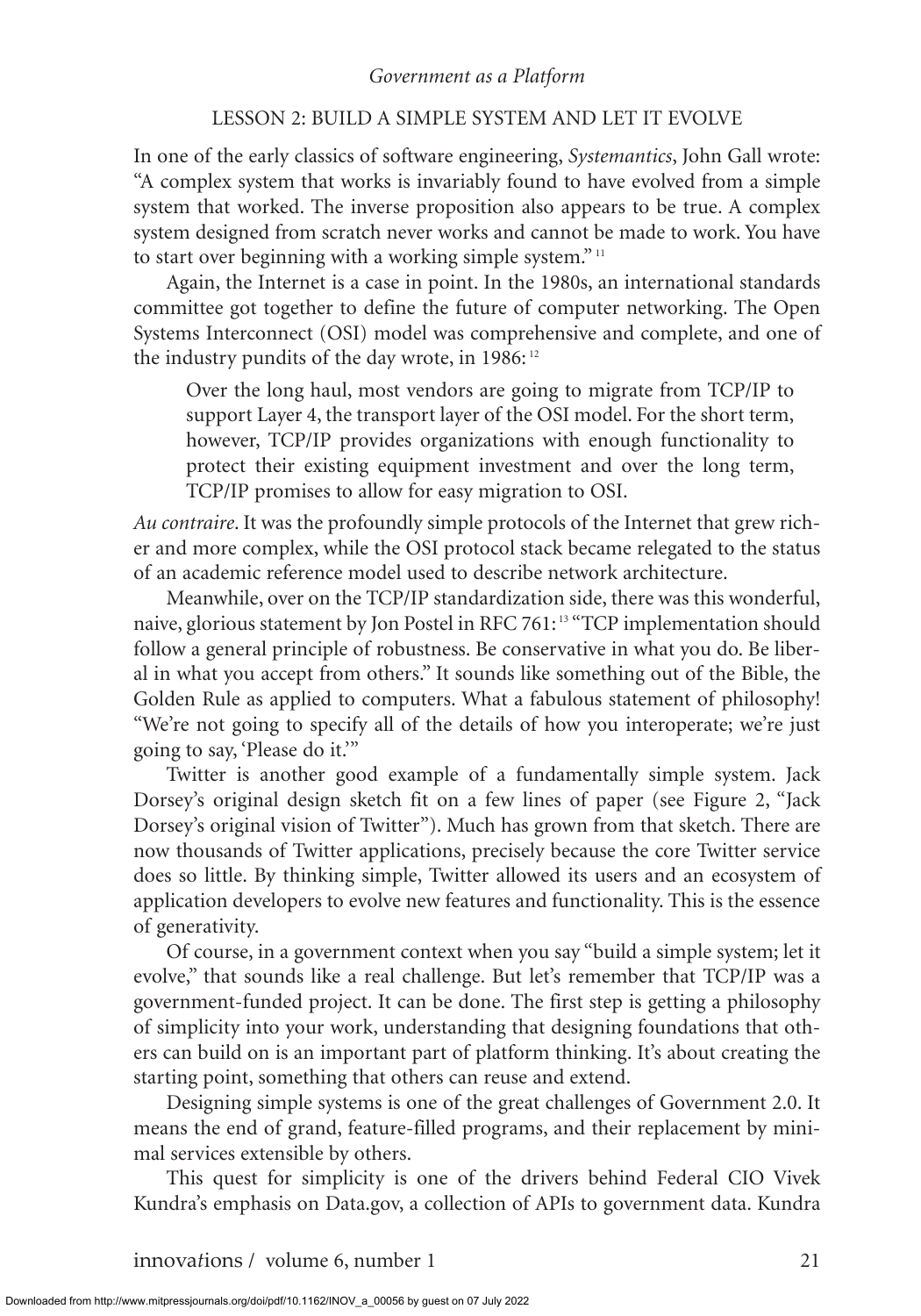## LESSON 2: BUILD A SIMPLE SYSTEM AND LET IT EVOLVE

In one of the early classics of software engineering, *Systemantics*, John Gall wrote: "A complex system that works is invariably found to have evolved from a simple system that worked. The inverse proposition also appears to be true. A complex system designed from scratch never works and cannot be made to work. You have to start over beginning with a working simple system."<sup>11</sup>

Again, the Internet is a case in point. In the 1980s, an international standards committee got together to define the future of computer networking. The Open Systems Interconnect (OSI) model was comprehensive and complete, and one of the industry pundits of the day wrote, in 1986: <sup>12</sup>

Over the long haul, most vendors are going to migrate from TCP/IP to support Layer 4, the transport layer of the OSI model. For the short term, however, TCP/IP provides organizations with enough functionality to protect their existing equipment investment and over the long term, TCP/IP promises to allow for easy migration to OSI.

*Au contraire*. It was the profoundly simple protocols of the Internet that grew richer and more complex, while the OSI protocol stack became relegated to the status of an academic reference model used to describe network architecture.

Meanwhile, over on the TCP/IP standardization side, there was this wonderful, naive, glorious statement by Jon Postel in RFC 761:<sup>13</sup> "TCP implementation should follow a general principle of robustness. Be conservative in what you do. Be liberal in what you accept from others." It sounds like something out of the Bible, the Golden Rule as applied to computers. What a fabulous statement of philosophy! "We're not going to specify all of the details of how you interoperate; we're just going to say, 'Please do it.'"

Twitter is another good example of a fundamentally simple system. Jack Dorsey's original design sketch fit on a few lines of paper (see Figure 2, "Jack Dorsey's original vision of Twitter"). Much has grown from that sketch. There are now thousands of Twitter applications, precisely because the core Twitter service does so little. By thinking simple, Twitter allowed its users and an ecosystem of application developers to evolve new features and functionality. This is the essence of generativity.

Of course, in a government context when you say "build a simple system; let it evolve," that sounds like a real challenge. But let's remember that TCP/IP was a government-funded project. It can be done. The first step is getting a philosophy of simplicity into your work, understanding that designing foundations that others can build on is an important part of platform thinking. It's about creating the starting point, something that others can reuse and extend.

Designing simple systems is one of the great challenges of Government 2.0. It means the end of grand, feature-filled programs, and their replacement by minimal services extensible by others.

This quest for simplicity is one of the drivers behind Federal CIO Vivek Kundra's emphasis on Data.gov, a collection of APIs to government data. Kundra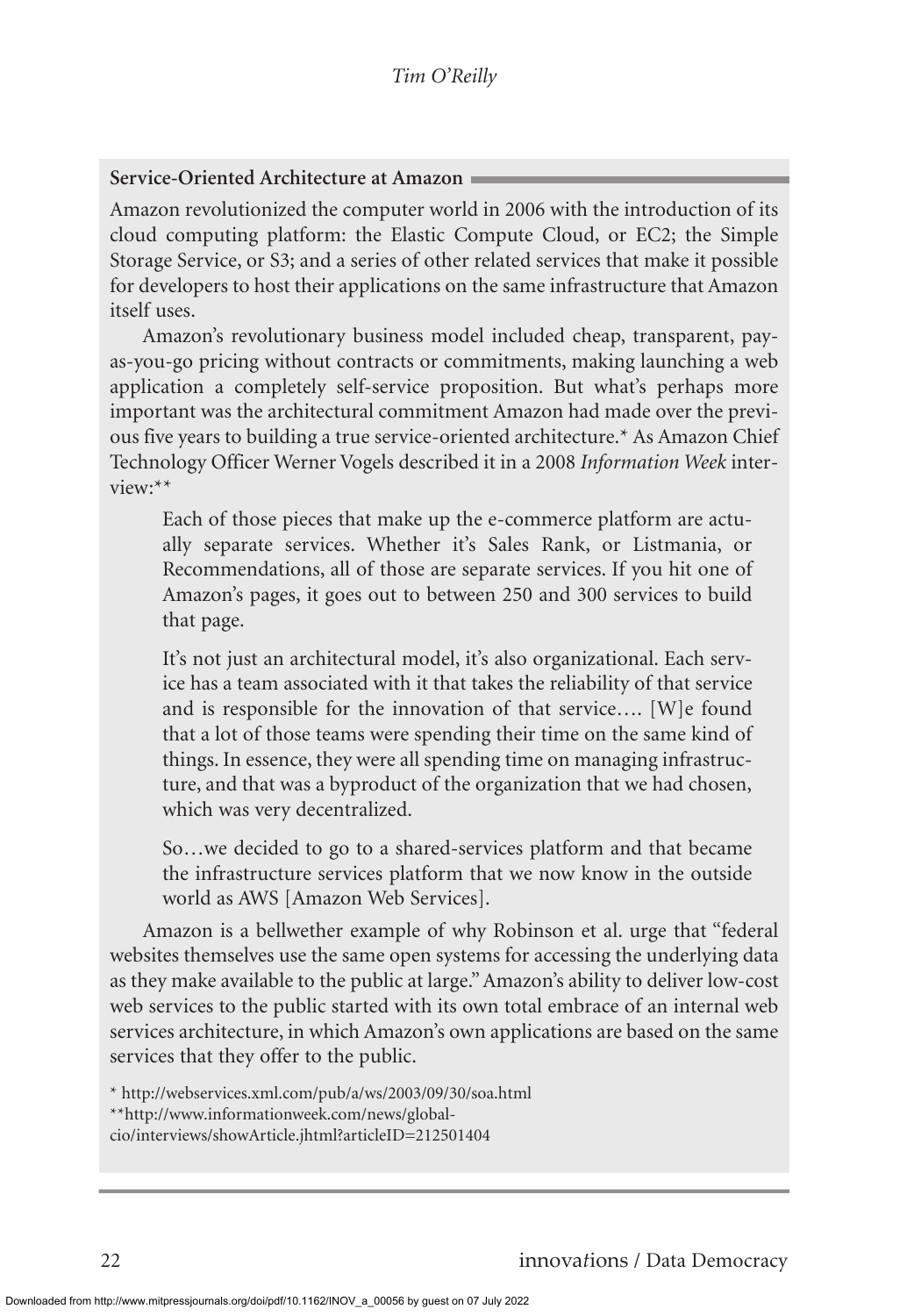#### **Service-Oriented Architecture at Amazon**

Amazon revolutionized the computer world in 2006 with the introduction of its cloud computing platform: the Elastic Compute Cloud, or EC2; the Simple Storage Service, or S3; and a series of other related services that make it possible for developers to host their applications on the same infrastructure that Amazon itself uses.

Amazon's revolutionary business model included cheap, transparent, payas-you-go pricing without contracts or commitments, making launching a web application a completely self-service proposition. But what's perhaps more important was the architectural commitment Amazon had made over the previous five years to building a true service-oriented architecture.\* As Amazon Chief Technology Officer Werner Vogels described it in a 2008 *Information Week* interview:\*\*

Each of those pieces that make up the e-commerce platform are actually separate services. Whether it's Sales Rank, or Listmania, or Recommendations, all of those are separate services. If you hit one of Amazon's pages, it goes out to between 250 and 300 services to build that page.

It's not just an architectural model, it's also organizational. Each service has a team associated with it that takes the reliability of that service and is responsible for the innovation of that service…. [W]e found that a lot of those teams were spending their time on the same kind of things. In essence, they were all spending time on managing infrastructure, and that was a byproduct of the organization that we had chosen, which was very decentralized.

So…we decided to go to a shared-services platform and that became the infrastructure services platform that we now know in the outside world as AWS [Amazon Web Services].

Amazon is a bellwether example of why Robinson et al. urge that "federal websites themselves use the same open systems for accessing the underlying data as they make available to the public at large." Amazon's ability to deliver low-cost web services to the public started with its own total embrace of an internal web services architecture, in which Amazon's own applications are based on the same services that they offer to the public.

<sup>\*</sup> http://webservices.xml.com/pub/a/ws/2003/09/30/soa.html \*\*http://www.informationweek.com/news/globalcio/interviews/showArticle.jhtml?articleID=212501404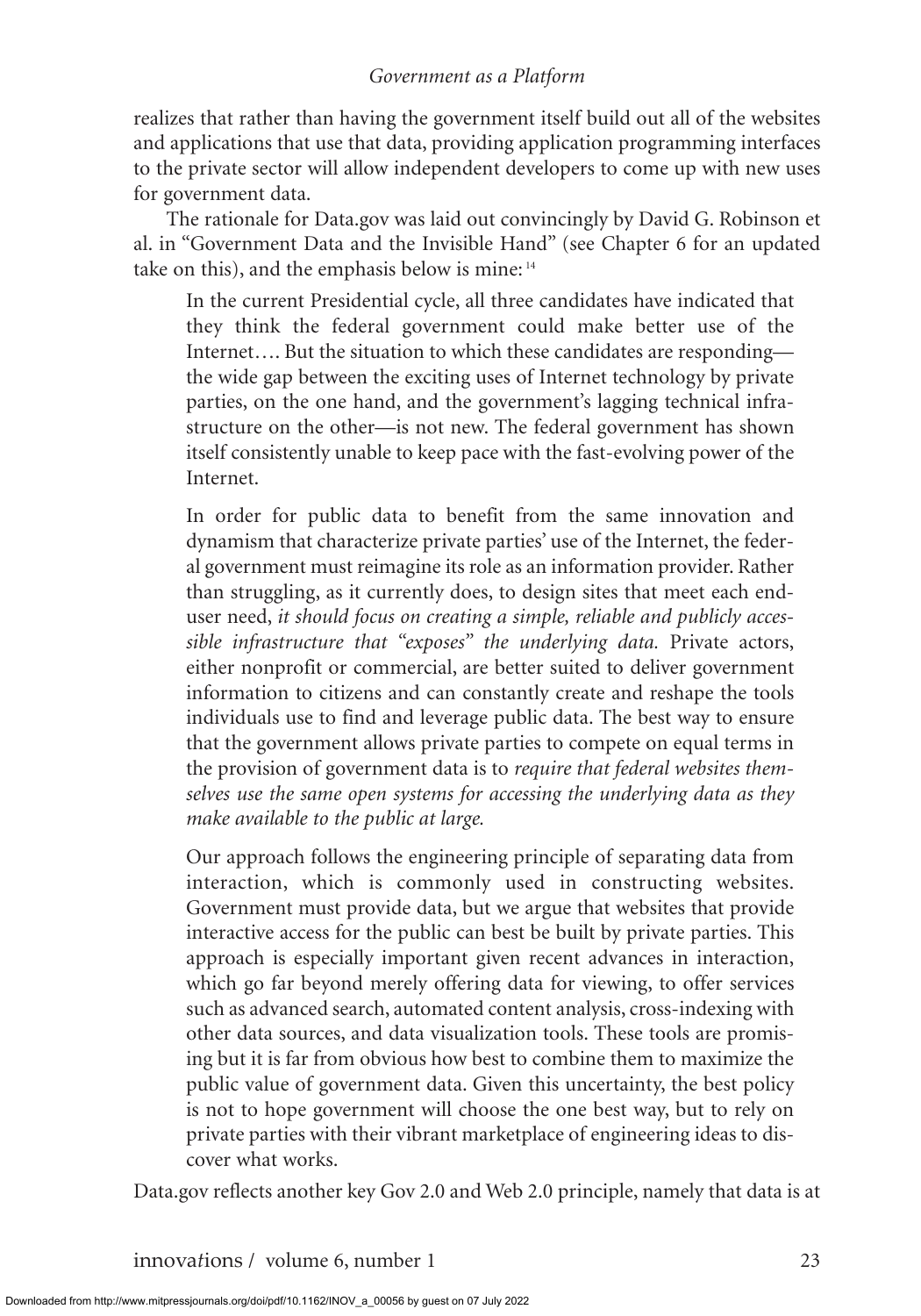## *Government as a Platform*

realizes that rather than having the government itself build out all of the websites and applications that use that data, providing application programming interfaces to the private sector will allow independent developers to come up with new uses for government data.

The rationale for Data.gov was laid out convincingly by David G. Robinson et al. in "Government Data and the Invisible Hand" (see Chapter 6 for an updated take on this), and the emphasis below is mine: <sup>14</sup>

In the current Presidential cycle, all three candidates have indicated that they think the federal government could make better use of the Internet…. But the situation to which these candidates are responding the wide gap between the exciting uses of Internet technology by private parties, on the one hand, and the government's lagging technical infrastructure on the other—is not new. The federal government has shown itself consistently unable to keep pace with the fast-evolving power of the Internet.

In order for public data to benefit from the same innovation and dynamism that characterize private parties' use of the Internet, the federal government must reimagine its role as an information provider. Rather than struggling, as it currently does, to design sites that meet each enduser need, *it should focus on creating a simple, reliable and publicly accessible infrastructure that "exposes" the underlying data.* Private actors, either nonprofit or commercial, are better suited to deliver government information to citizens and can constantly create and reshape the tools individuals use to find and leverage public data. The best way to ensure that the government allows private parties to compete on equal terms in the provision of government data is to *require that federal websites themselves use the same open systems for accessing the underlying data as they make available to the public at large.*

Our approach follows the engineering principle of separating data from interaction, which is commonly used in constructing websites. Government must provide data, but we argue that websites that provide interactive access for the public can best be built by private parties. This approach is especially important given recent advances in interaction, which go far beyond merely offering data for viewing, to offer services such as advanced search, automated content analysis, cross-indexing with other data sources, and data visualization tools. These tools are promising but it is far from obvious how best to combine them to maximize the public value of government data. Given this uncertainty, the best policy is not to hope government will choose the one best way, but to rely on private parties with their vibrant marketplace of engineering ideas to discover what works.

Data.gov reflects another key Gov 2.0 and Web 2.0 principle, namely that data is at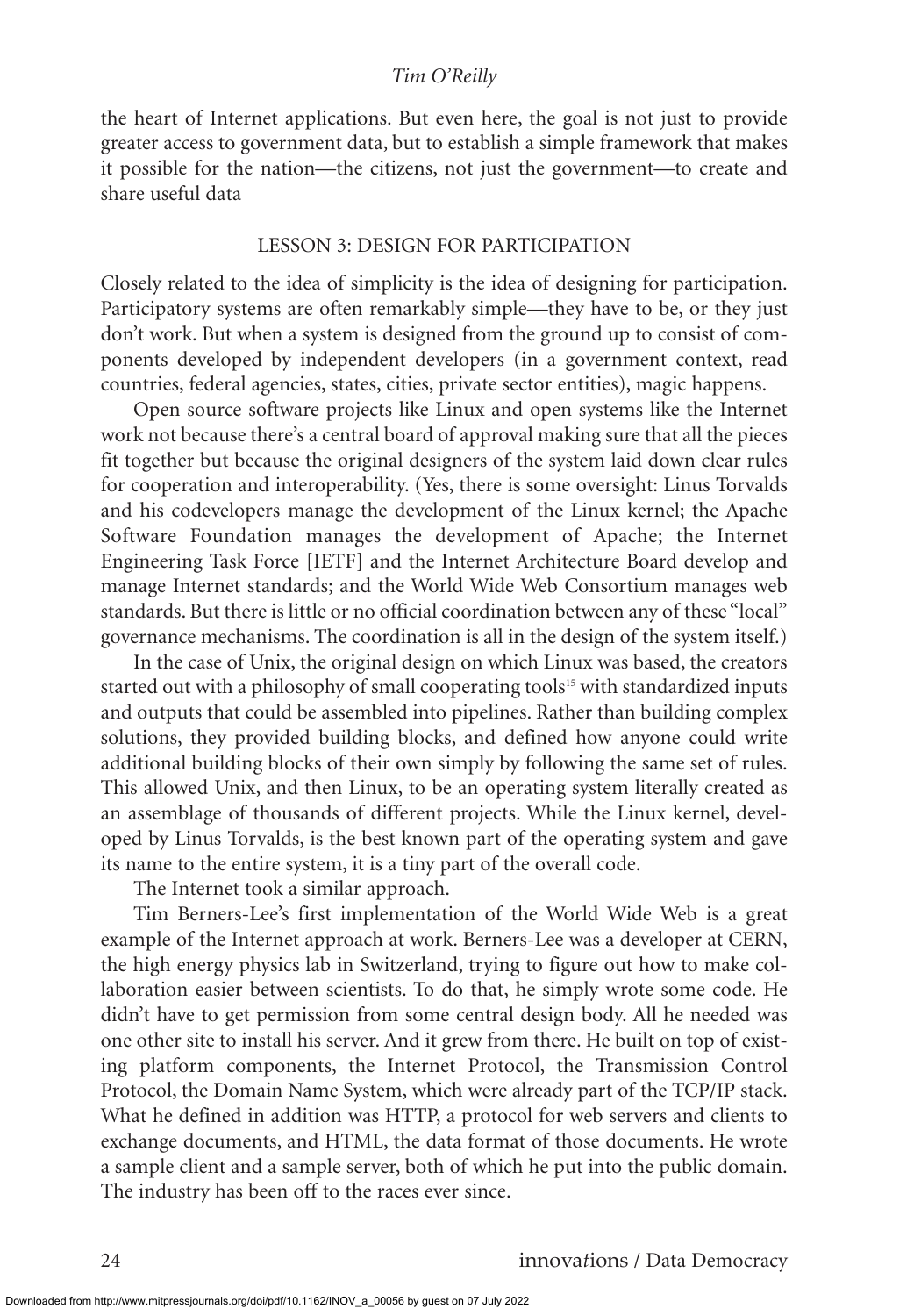the heart of Internet applications. But even here, the goal is not just to provide greater access to government data, but to establish a simple framework that makes it possible for the nation—the citizens, not just the government—to create and share useful data

#### LESSON 3: DESIGN FOR PARTICIPATION

Closely related to the idea of simplicity is the idea of designing for participation. Participatory systems are often remarkably simple—they have to be, or they just don't work. But when a system is designed from the ground up to consist of components developed by independent developers (in a government context, read countries, federal agencies, states, cities, private sector entities), magic happens.

Open source software projects like Linux and open systems like the Internet work not because there's a central board of approval making sure that all the pieces fit together but because the original designers of the system laid down clear rules for cooperation and interoperability. (Yes, there is some oversight: Linus Torvalds and his codevelopers manage the development of the Linux kernel; the Apache Software Foundation manages the development of Apache; the Internet Engineering Task Force [IETF] and the Internet Architecture Board develop and manage Internet standards; and the World Wide Web Consortium manages web standards. But there is little or no official coordination between any of these "local" governance mechanisms. The coordination is all in the design of the system itself.)

In the case of Unix, the original design on which Linux was based, the creators started out with a philosophy of small cooperating tools<sup>15</sup> with standardized inputs and outputs that could be assembled into pipelines. Rather than building complex solutions, they provided building blocks, and defined how anyone could write additional building blocks of their own simply by following the same set of rules. This allowed Unix, and then Linux, to be an operating system literally created as an assemblage of thousands of different projects. While the Linux kernel, developed by Linus Torvalds, is the best known part of the operating system and gave its name to the entire system, it is a tiny part of the overall code.

The Internet took a similar approach.

Tim Berners-Lee's first implementation of the World Wide Web is a great example of the Internet approach at work. Berners-Lee was a developer at CERN, the high energy physics lab in Switzerland, trying to figure out how to make collaboration easier between scientists. To do that, he simply wrote some code. He didn't have to get permission from some central design body. All he needed was one other site to install his server. And it grew from there. He built on top of existing platform components, the Internet Protocol, the Transmission Control Protocol, the Domain Name System, which were already part of the TCP/IP stack. What he defined in addition was HTTP, a protocol for web servers and clients to exchange documents, and HTML, the data format of those documents. He wrote a sample client and a sample server, both of which he put into the public domain. The industry has been off to the races ever since.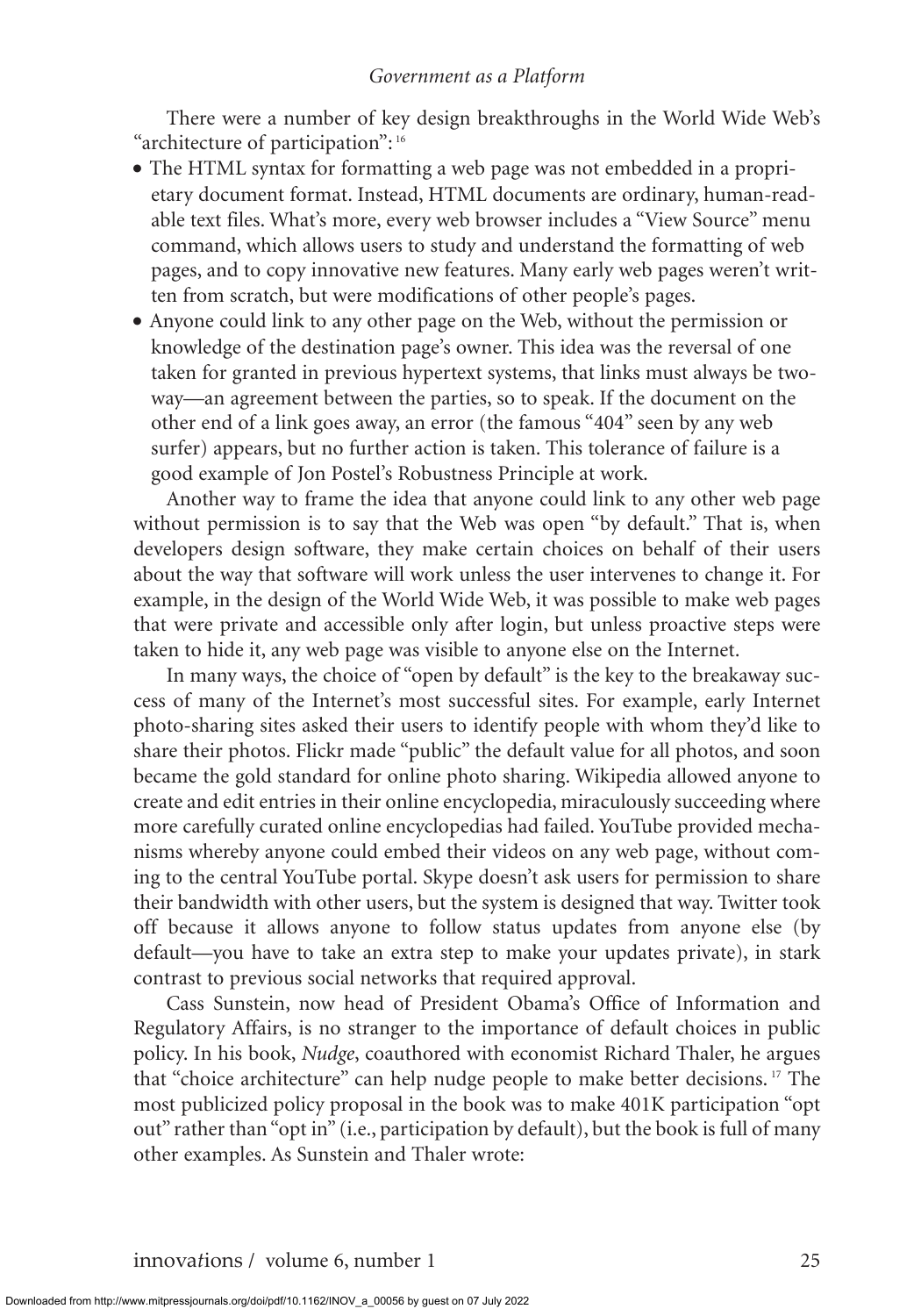There were a number of key design breakthroughs in the World Wide Web's "architecture of participation": 16

- The HTML syntax for formatting a web page was not embedded in a proprietary document format. Instead, HTML documents are ordinary, human-readable text files. What's more, every web browser includes a "View Source" menu command, which allows users to study and understand the formatting of web pages, and to copy innovative new features. Many early web pages weren't written from scratch, but were modifications of other people's pages.
- Anyone could link to any other page on the Web, without the permission or knowledge of the destination page's owner. This idea was the reversal of one taken for granted in previous hypertext systems, that links must always be twoway—an agreement between the parties, so to speak. If the document on the other end of a link goes away, an error (the famous "404" seen by any web surfer) appears, but no further action is taken. This tolerance of failure is a good example of Jon Postel's Robustness Principle at work.

Another way to frame the idea that anyone could link to any other web page without permission is to say that the Web was open "by default." That is, when developers design software, they make certain choices on behalf of their users about the way that software will work unless the user intervenes to change it. For example, in the design of the World Wide Web, it was possible to make web pages that were private and accessible only after login, but unless proactive steps were taken to hide it, any web page was visible to anyone else on the Internet.

In many ways, the choice of "open by default" is the key to the breakaway success of many of the Internet's most successful sites. For example, early Internet photo-sharing sites asked their users to identify people with whom they'd like to share their photos. Flickr made "public" the default value for all photos, and soon became the gold standard for online photo sharing. Wikipedia allowed anyone to create and edit entries in their online encyclopedia, miraculously succeeding where more carefully curated online encyclopedias had failed. YouTube provided mechanisms whereby anyone could embed their videos on any web page, without coming to the central YouTube portal. Skype doesn't ask users for permission to share their bandwidth with other users, but the system is designed that way. Twitter took off because it allows anyone to follow status updates from anyone else (by default—you have to take an extra step to make your updates private), in stark contrast to previous social networks that required approval.

Cass Sunstein, now head of President Obama's Office of Information and Regulatory Affairs, is no stranger to the importance of default choices in public policy. In his book, *Nudge*, coauthored with economist Richard Thaler, he argues that "choice architecture" can help nudge people to make better decisions. <sup>17</sup> The most publicized policy proposal in the book was to make 401K participation "opt out" rather than "opt in" (i.e., participation by default), but the book is full of many other examples. As Sunstein and Thaler wrote: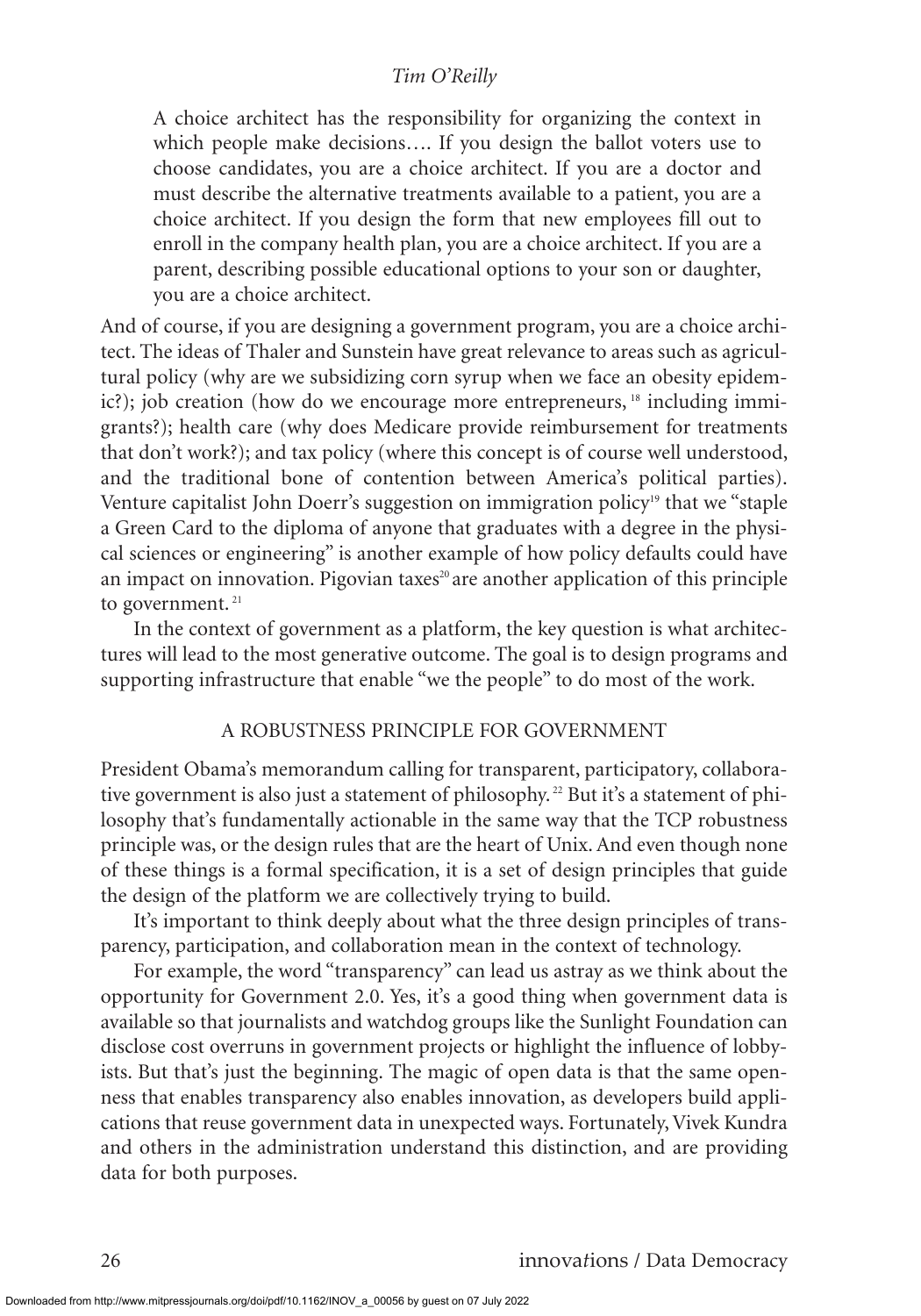A choice architect has the responsibility for organizing the context in which people make decisions…. If you design the ballot voters use to choose candidates, you are a choice architect. If you are a doctor and must describe the alternative treatments available to a patient, you are a choice architect. If you design the form that new employees fill out to enroll in the company health plan, you are a choice architect. If you are a parent, describing possible educational options to your son or daughter, you are a choice architect.

And of course, if you are designing a government program, you are a choice architect. The ideas of Thaler and Sunstein have great relevance to areas such as agricultural policy (why are we subsidizing corn syrup when we face an obesity epidemic?); job creation (how do we encourage more entrepreneurs, <sup>18</sup> including immigrants?); health care (why does Medicare provide reimbursement for treatments that don't work?); and tax policy (where this concept is of course well understood, and the traditional bone of contention between America's political parties). Venture capitalist John Doerr's suggestion on immigration policy<sup>19</sup> that we "staple a Green Card to the diploma of anyone that graduates with a degree in the physical sciences or engineering" is another example of how policy defaults could have an impact on innovation. Pigovian taxes<sup>20</sup> are another application of this principle to government.<sup>21</sup>

In the context of government as a platform, the key question is what architectures will lead to the most generative outcome. The goal is to design programs and supporting infrastructure that enable "we the people" to do most of the work.

## A ROBUSTNESS PRINCIPLE FOR GOVERNMENT

President Obama's memorandum calling for transparent, participatory, collaborative government is also just a statement of philosophy.<sup>22</sup> But it's a statement of philosophy that's fundamentally actionable in the same way that the TCP robustness principle was, or the design rules that are the heart of Unix. And even though none of these things is a formal specification, it is a set of design principles that guide the design of the platform we are collectively trying to build.

It's important to think deeply about what the three design principles of transparency, participation, and collaboration mean in the context of technology.

For example, the word "transparency" can lead us astray as we think about the opportunity for Government 2.0. Yes, it's a good thing when government data is available so that journalists and watchdog groups like the Sunlight Foundation can disclose cost overruns in government projects or highlight the influence of lobbyists. But that's just the beginning. The magic of open data is that the same openness that enables transparency also enables innovation, as developers build applications that reuse government data in unexpected ways. Fortunately, Vivek Kundra and others in the administration understand this distinction, and are providing data for both purposes.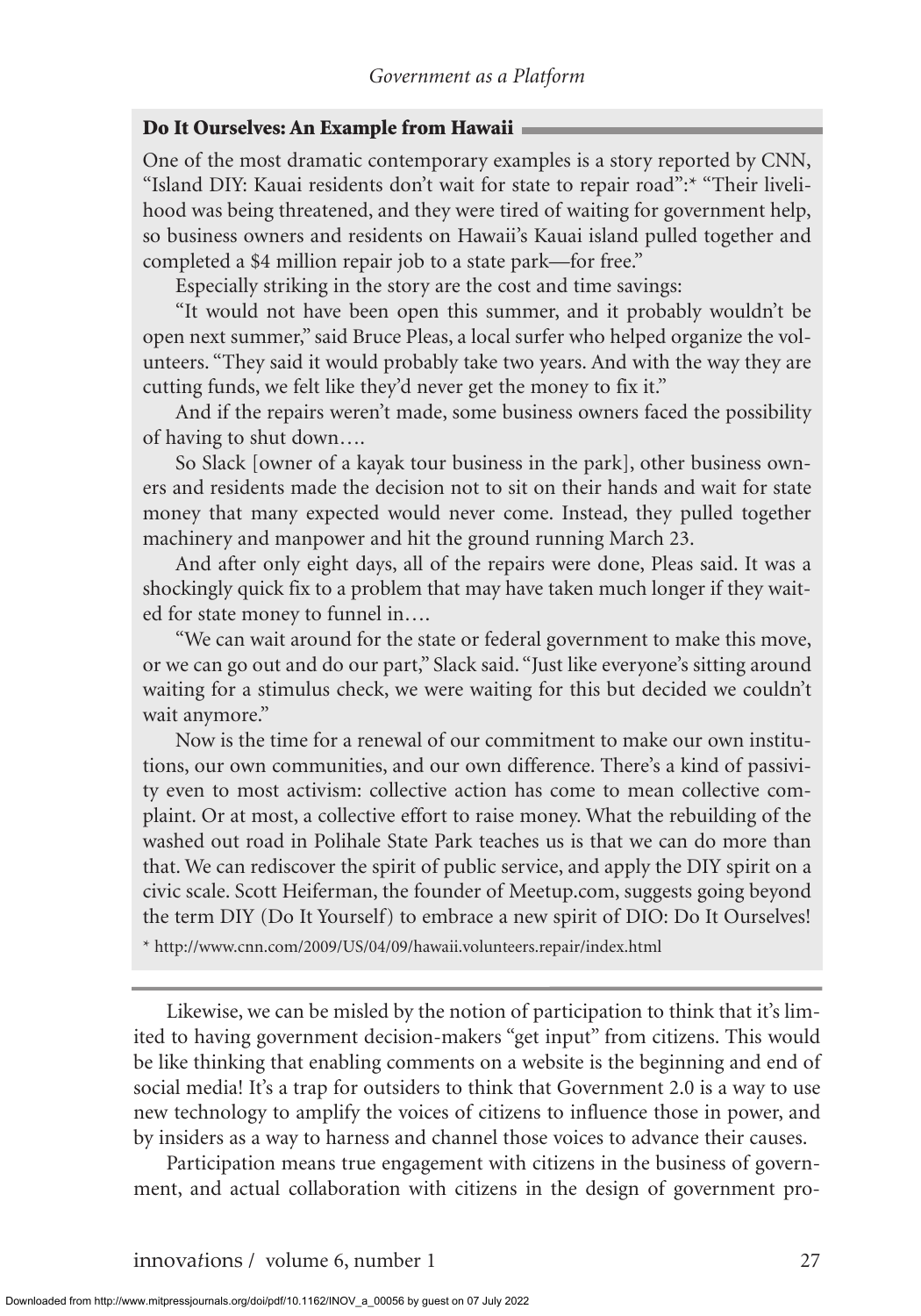#### **Do It Ourselves: An Example from Hawaii**

One of the most dramatic contemporary examples is a story reported by CNN, "Island DIY: Kauai residents don't wait for state to repair road":\* "Their livelihood was being threatened, and they were tired of waiting for government help, so business owners and residents on Hawaii's Kauai island pulled together and completed a \$4 million repair job to a state park—for free."

Especially striking in the story are the cost and time savings:

"It would not have been open this summer, and it probably wouldn't be open next summer," said Bruce Pleas, a local surfer who helped organize the volunteers. "They said it would probably take two years. And with the way they are cutting funds, we felt like they'd never get the money to fix it."

And if the repairs weren't made, some business owners faced the possibility of having to shut down….

So Slack [owner of a kayak tour business in the park], other business owners and residents made the decision not to sit on their hands and wait for state money that many expected would never come. Instead, they pulled together machinery and manpower and hit the ground running March 23.

And after only eight days, all of the repairs were done, Pleas said. It was a shockingly quick fix to a problem that may have taken much longer if they waited for state money to funnel in….

"We can wait around for the state or federal government to make this move, or we can go out and do our part," Slack said. "Just like everyone's sitting around waiting for a stimulus check, we were waiting for this but decided we couldn't wait anymore."

Now is the time for a renewal of our commitment to make our own institutions, our own communities, and our own difference. There's a kind of passivity even to most activism: collective action has come to mean collective complaint. Or at most, a collective effort to raise money. What the rebuilding of the washed out road in Polihale State Park teaches us is that we can do more than that. We can rediscover the spirit of public service, and apply the DIY spirit on a civic scale. Scott Heiferman, the founder of Meetup.com, suggests going beyond the term DIY (Do It Yourself) to embrace a new spirit of DIO: Do It Ourselves!

\* http://www.cnn.com/2009/US/04/09/hawaii.volunteers.repair/index.html

Likewise, we can be misled by the notion of participation to think that it's limited to having government decision-makers "get input" from citizens. This would be like thinking that enabling comments on a website is the beginning and end of social media! It's a trap for outsiders to think that Government 2.0 is a way to use new technology to amplify the voices of citizens to influence those in power, and by insiders as a way to harness and channel those voices to advance their causes.

Participation means true engagement with citizens in the business of government, and actual collaboration with citizens in the design of government pro-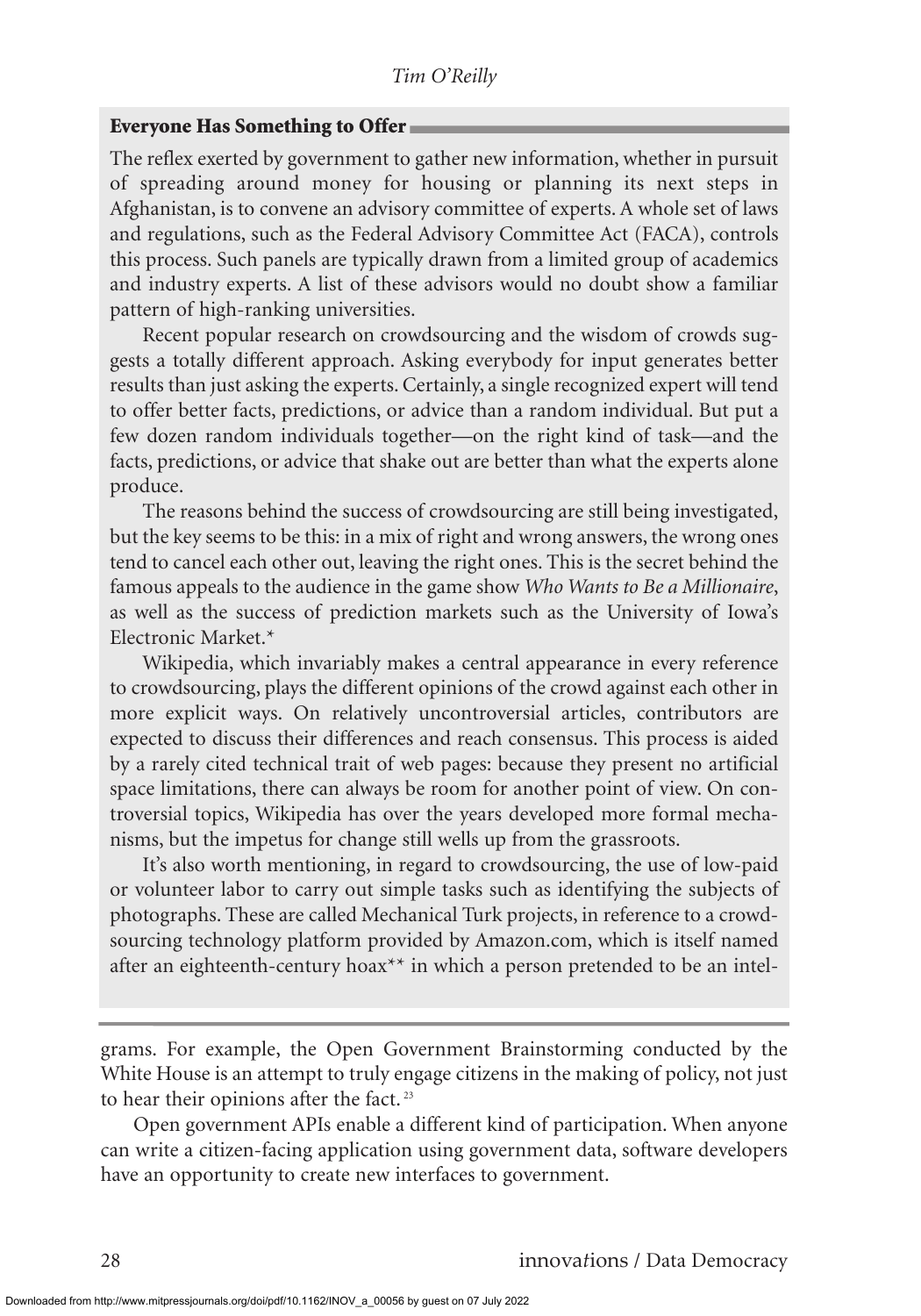#### **Everyone Has Something to Offer**

The reflex exerted by government to gather new information, whether in pursuit of spreading around money for housing or planning its next steps in Afghanistan, is to convene an advisory committee of experts. A whole set of laws and regulations, such as the Federal Advisory Committee Act (FACA), controls this process. Such panels are typically drawn from a limited group of academics and industry experts. A list of these advisors would no doubt show a familiar pattern of high-ranking universities.

Recent popular research on crowdsourcing and the wisdom of crowds suggests a totally different approach. Asking everybody for input generates better results than just asking the experts. Certainly, a single recognized expert will tend to offer better facts, predictions, or advice than a random individual. But put a few dozen random individuals together—on the right kind of task—and the facts, predictions, or advice that shake out are better than what the experts alone produce.

The reasons behind the success of crowdsourcing are still being investigated, but the key seems to be this: in a mix of right and wrong answers, the wrong ones tend to cancel each other out, leaving the right ones. This is the secret behind the famous appeals to the audience in the game show *Who Wants to Be a Millionaire*, as well as the success of prediction markets such as the University of Iowa's Electronic Market.\*

Wikipedia, which invariably makes a central appearance in every reference to crowdsourcing, plays the different opinions of the crowd against each other in more explicit ways. On relatively uncontroversial articles, contributors are expected to discuss their differences and reach consensus. This process is aided by a rarely cited technical trait of web pages: because they present no artificial space limitations, there can always be room for another point of view. On controversial topics, Wikipedia has over the years developed more formal mechanisms, but the impetus for change still wells up from the grassroots.

It's also worth mentioning, in regard to crowdsourcing, the use of low-paid or volunteer labor to carry out simple tasks such as identifying the subjects of photographs. These are called Mechanical Turk projects, in reference to a crowdsourcing technology platform provided by Amazon.com, which is itself named after an eighteenth-century hoax<sup>\*\*</sup> in which a person pretended to be an intel-

grams. For example, the Open Government Brainstorming conducted by the White House is an attempt to truly engage citizens in the making of policy, not just to hear their opinions after the fact.<sup>23</sup>

Open government APIs enable a different kind of participation. When anyone can write a citizen-facing application using government data, software developers have an opportunity to create new interfaces to government.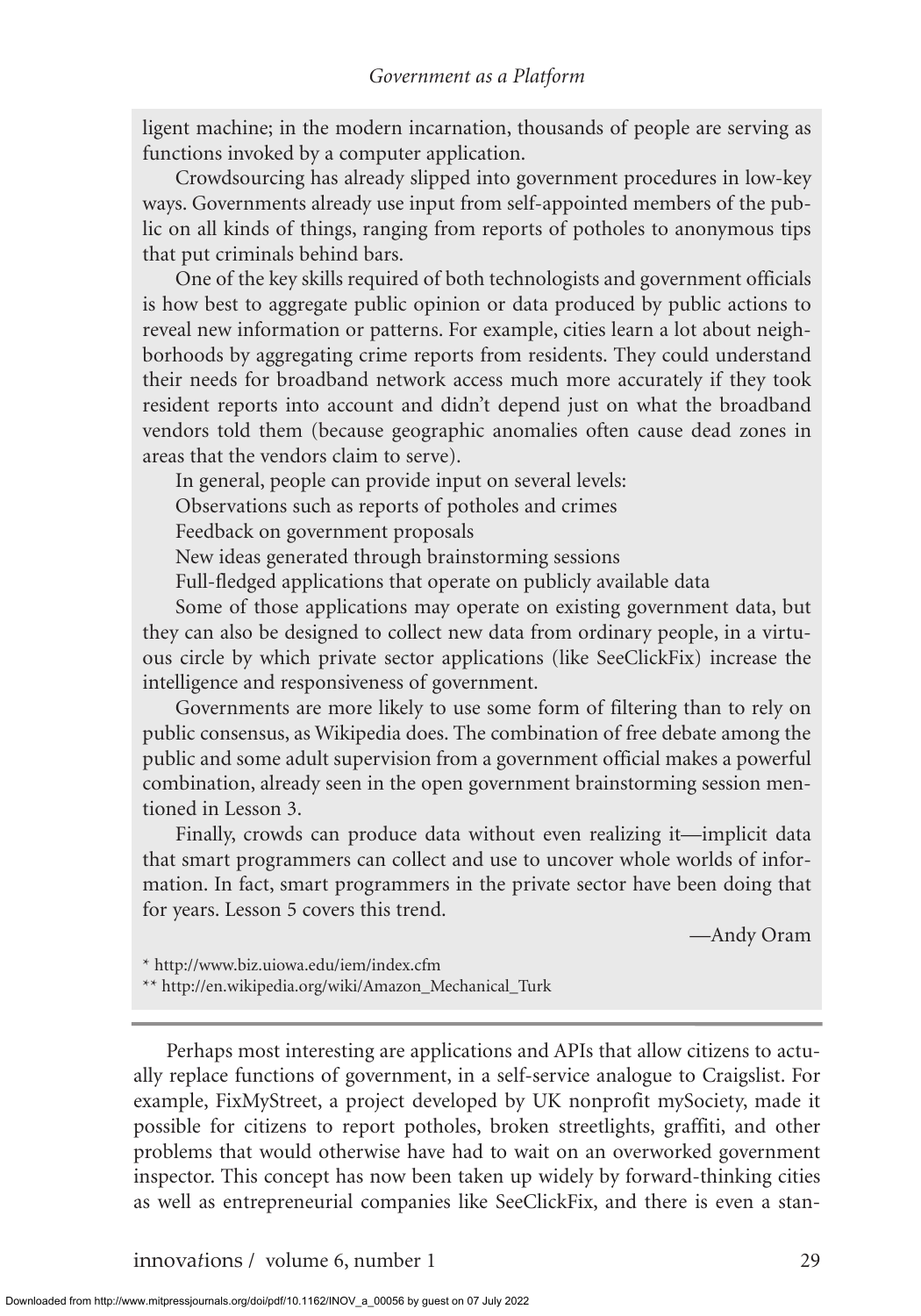ligent machine; in the modern incarnation, thousands of people are serving as functions invoked by a computer application.

Crowdsourcing has already slipped into government procedures in low-key ways. Governments already use input from self-appointed members of the public on all kinds of things, ranging from reports of potholes to anonymous tips that put criminals behind bars.

One of the key skills required of both technologists and government officials is how best to aggregate public opinion or data produced by public actions to reveal new information or patterns. For example, cities learn a lot about neighborhoods by aggregating crime reports from residents. They could understand their needs for broadband network access much more accurately if they took resident reports into account and didn't depend just on what the broadband vendors told them (because geographic anomalies often cause dead zones in areas that the vendors claim to serve).

In general, people can provide input on several levels:

Observations such as reports of potholes and crimes

Feedback on government proposals

New ideas generated through brainstorming sessions

Full-fledged applications that operate on publicly available data

Some of those applications may operate on existing government data, but they can also be designed to collect new data from ordinary people, in a virtuous circle by which private sector applications (like SeeClickFix) increase the intelligence and responsiveness of government.

Governments are more likely to use some form of filtering than to rely on public consensus, as Wikipedia does. The combination of free debate among the public and some adult supervision from a government official makes a powerful combination, already seen in the open government brainstorming session mentioned in Lesson 3.

Finally, crowds can produce data without even realizing it—implicit data that smart programmers can collect and use to uncover whole worlds of information. In fact, smart programmers in the private sector have been doing that for years. Lesson 5 covers this trend.

—Andy Oram

\* http://www.biz.uiowa.edu/iem/index.cfm \*\* http://en.wikipedia.org/wiki/Amazon\_Mechanical\_Turk

Perhaps most interesting are applications and APIs that allow citizens to actually replace functions of government, in a self-service analogue to Craigslist. For example, FixMyStreet, a project developed by UK nonprofit mySociety, made it possible for citizens to report potholes, broken streetlights, graffiti, and other problems that would otherwise have had to wait on an overworked government inspector. This concept has now been taken up widely by forward-thinking cities as well as entrepreneurial companies like SeeClickFix, and there is even a stan-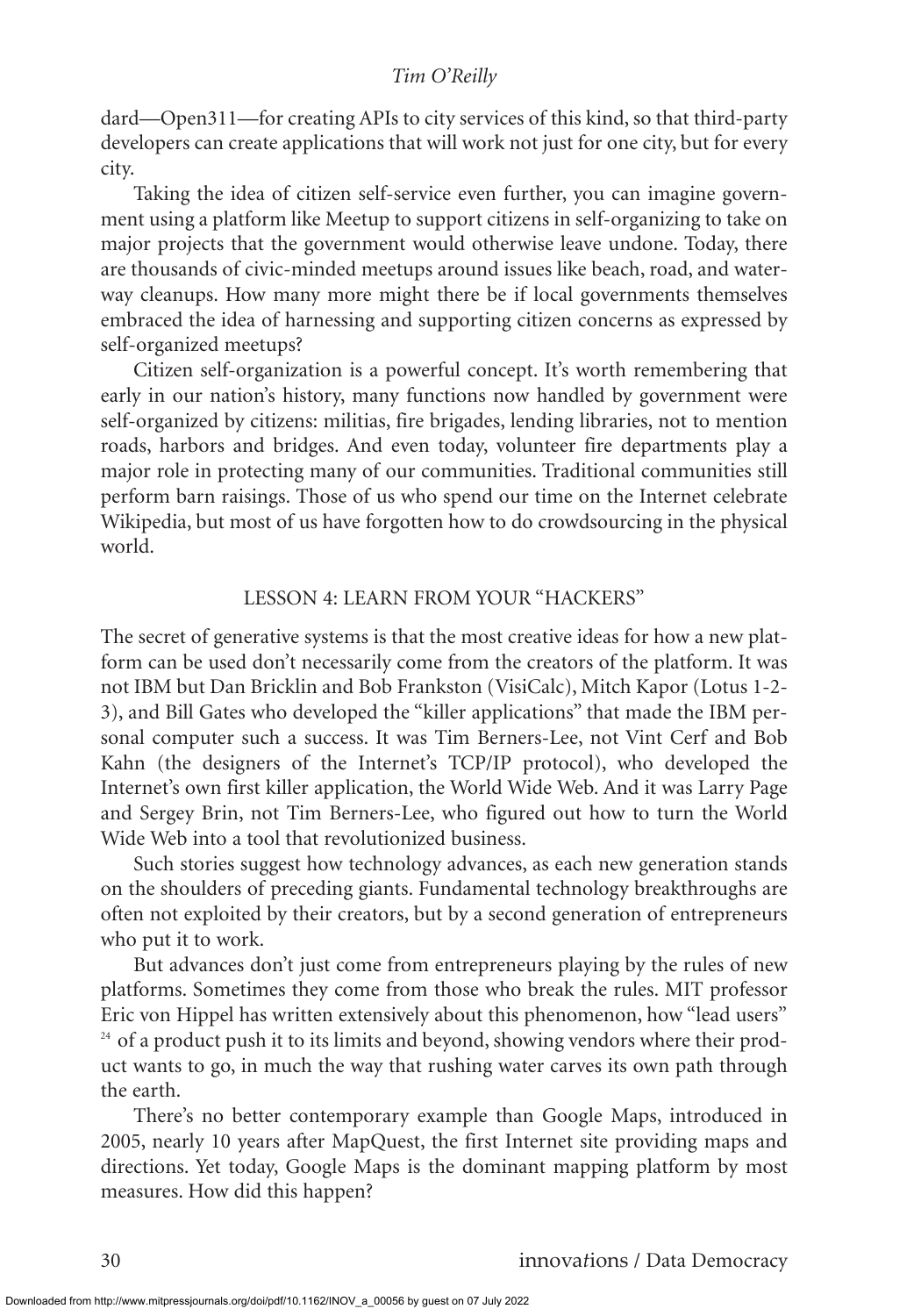dard—Open311—for creating APIs to city services of this kind, so that third-party developers can create applications that will work not just for one city, but for every city.

Taking the idea of citizen self-service even further, you can imagine government using a platform like Meetup to support citizens in self-organizing to take on major projects that the government would otherwise leave undone. Today, there are thousands of civic-minded meetups around issues like beach, road, and waterway cleanups. How many more might there be if local governments themselves embraced the idea of harnessing and supporting citizen concerns as expressed by self-organized meetups?

Citizen self-organization is a powerful concept. It's worth remembering that early in our nation's history, many functions now handled by government were self-organized by citizens: militias, fire brigades, lending libraries, not to mention roads, harbors and bridges. And even today, volunteer fire departments play a major role in protecting many of our communities. Traditional communities still perform barn raisings. Those of us who spend our time on the Internet celebrate Wikipedia, but most of us have forgotten how to do crowdsourcing in the physical world.

#### LESSON 4: LEARN FROM YOUR "HACKERS"

The secret of generative systems is that the most creative ideas for how a new platform can be used don't necessarily come from the creators of the platform. It was not IBM but Dan Bricklin and Bob Frankston (VisiCalc), Mitch Kapor (Lotus 1-2- 3), and Bill Gates who developed the "killer applications" that made the IBM personal computer such a success. It was Tim Berners-Lee, not Vint Cerf and Bob Kahn (the designers of the Internet's TCP/IP protocol), who developed the Internet's own first killer application, the World Wide Web. And it was Larry Page and Sergey Brin, not Tim Berners-Lee, who figured out how to turn the World Wide Web into a tool that revolutionized business.

Such stories suggest how technology advances, as each new generation stands on the shoulders of preceding giants. Fundamental technology breakthroughs are often not exploited by their creators, but by a second generation of entrepreneurs who put it to work.

But advances don't just come from entrepreneurs playing by the rules of new platforms. Sometimes they come from those who break the rules. MIT professor Eric von Hippel has written extensively about this phenomenon, how "lead users" <sup>24</sup> of a product push it to its limits and beyond, showing vendors where their product wants to go, in much the way that rushing water carves its own path through the earth.

There's no better contemporary example than Google Maps, introduced in 2005, nearly 10 years after MapQuest, the first Internet site providing maps and directions. Yet today, Google Maps is the dominant mapping platform by most measures. How did this happen?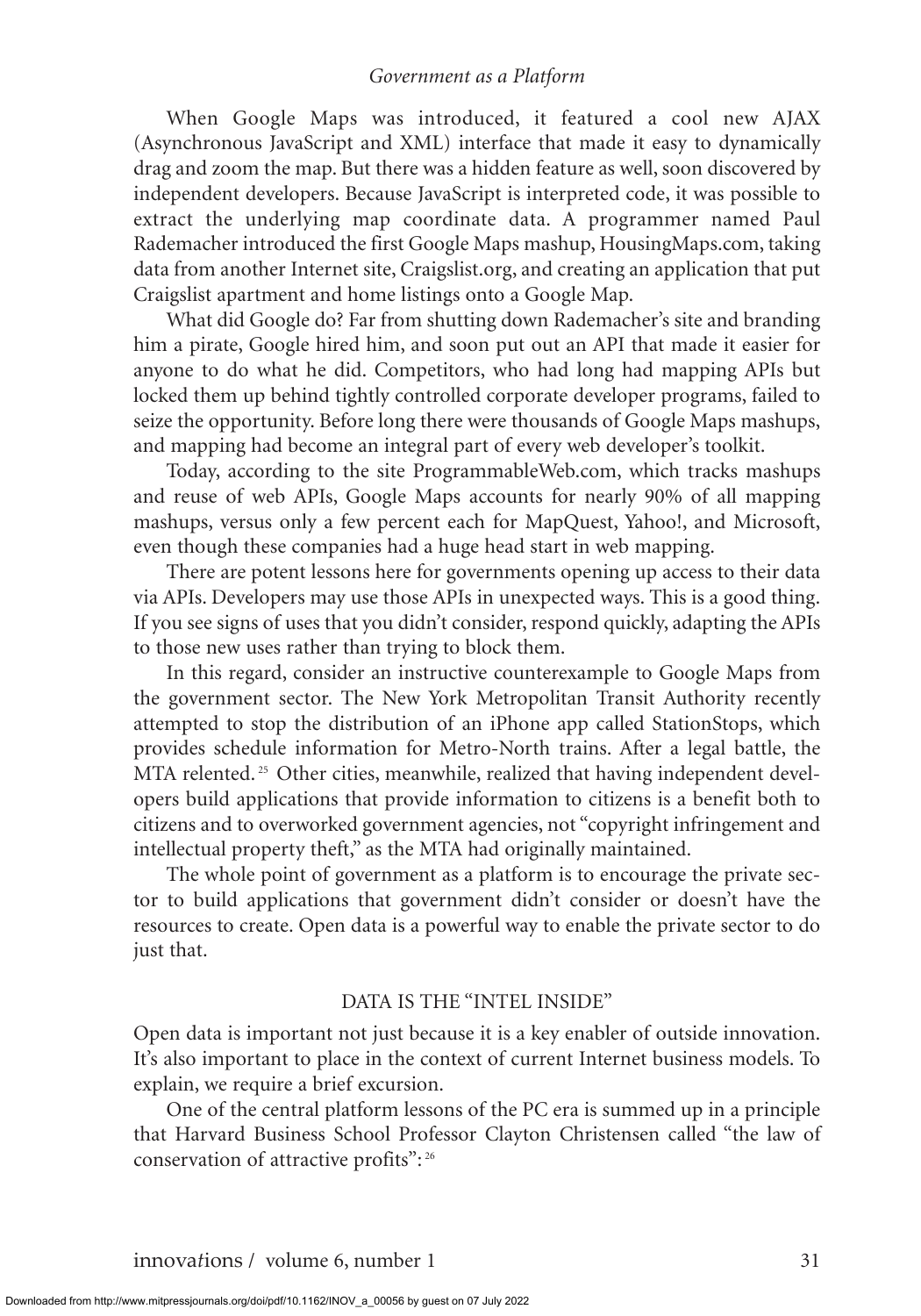When Google Maps was introduced, it featured a cool new AJAX (Asynchronous JavaScript and XML) interface that made it easy to dynamically drag and zoom the map. But there was a hidden feature as well, soon discovered by independent developers. Because JavaScript is interpreted code, it was possible to extract the underlying map coordinate data. A programmer named Paul Rademacher introduced the first Google Maps mashup, HousingMaps.com, taking data from another Internet site, Craigslist.org, and creating an application that put Craigslist apartment and home listings onto a Google Map.

What did Google do? Far from shutting down Rademacher's site and branding him a pirate, Google hired him, and soon put out an API that made it easier for anyone to do what he did. Competitors, who had long had mapping APIs but locked them up behind tightly controlled corporate developer programs, failed to seize the opportunity. Before long there were thousands of Google Maps mashups, and mapping had become an integral part of every web developer's toolkit.

Today, according to the site ProgrammableWeb.com, which tracks mashups and reuse of web APIs, Google Maps accounts for nearly 90% of all mapping mashups, versus only a few percent each for MapQuest, Yahoo!, and Microsoft, even though these companies had a huge head start in web mapping.

There are potent lessons here for governments opening up access to their data via APIs. Developers may use those APIs in unexpected ways. This is a good thing. If you see signs of uses that you didn't consider, respond quickly, adapting the APIs to those new uses rather than trying to block them.

In this regard, consider an instructive counterexample to Google Maps from the government sector. The New York Metropolitan Transit Authority recently attempted to stop the distribution of an iPhone app called StationStops, which provides schedule information for Metro-North trains. After a legal battle, the MTA relented.<sup>25</sup> Other cities, meanwhile, realized that having independent developers build applications that provide information to citizens is a benefit both to citizens and to overworked government agencies, not "copyright infringement and intellectual property theft," as the MTA had originally maintained.

The whole point of government as a platform is to encourage the private sector to build applications that government didn't consider or doesn't have the resources to create. Open data is a powerful way to enable the private sector to do just that.

### DATA IS THE "INTEL INSIDE"

Open data is important not just because it is a key enabler of outside innovation. It's also important to place in the context of current Internet business models. To explain, we require a brief excursion.

One of the central platform lessons of the PC era is summed up in a principle that Harvard Business School Professor Clayton Christensen called "the law of conservation of attractive profits": <sup>26</sup>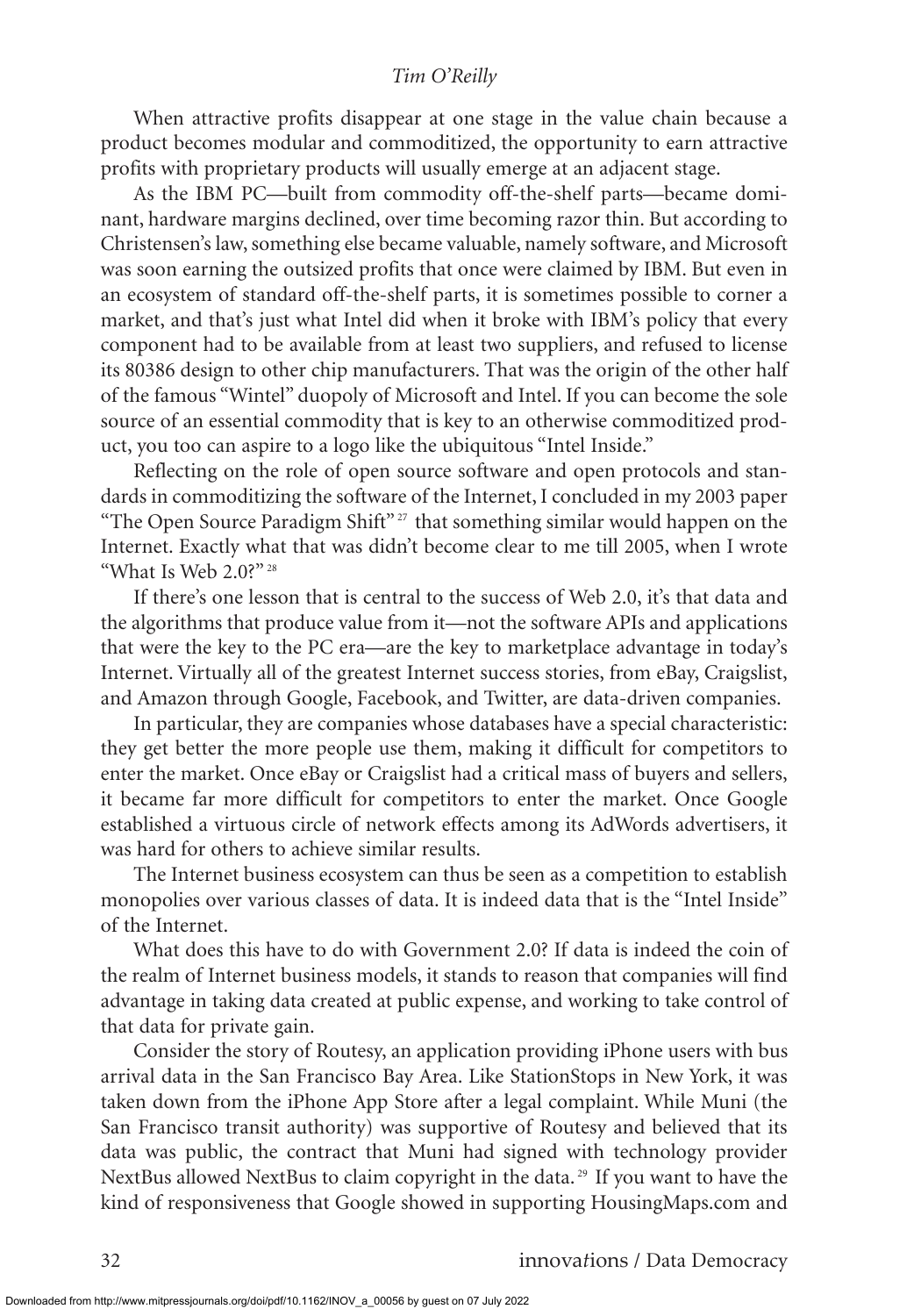When attractive profits disappear at one stage in the value chain because a product becomes modular and commoditized, the opportunity to earn attractive profits with proprietary products will usually emerge at an adjacent stage.

As the IBM PC—built from commodity off-the-shelf parts—became dominant, hardware margins declined, over time becoming razor thin. But according to Christensen's law, something else became valuable, namely software, and Microsoft was soon earning the outsized profits that once were claimed by IBM. But even in an ecosystem of standard off-the-shelf parts, it is sometimes possible to corner a market, and that's just what Intel did when it broke with IBM's policy that every component had to be available from at least two suppliers, and refused to license its 80386 design to other chip manufacturers. That was the origin of the other half of the famous "Wintel" duopoly of Microsoft and Intel. If you can become the sole source of an essential commodity that is key to an otherwise commoditized product, you too can aspire to a logo like the ubiquitous "Intel Inside."

Reflecting on the role of open source software and open protocols and standards in commoditizing the software of the Internet, I concluded in my 2003 paper "The Open Source Paradigm Shift"<sup>27</sup> that something similar would happen on the Internet. Exactly what that was didn't become clear to me till 2005, when I wrote "What Is Web 2.0?"<sup>28</sup>

If there's one lesson that is central to the success of Web 2.0, it's that data and the algorithms that produce value from it—not the software APIs and applications that were the key to the PC era—are the key to marketplace advantage in today's Internet. Virtually all of the greatest Internet success stories, from eBay, Craigslist, and Amazon through Google, Facebook, and Twitter, are data-driven companies.

In particular, they are companies whose databases have a special characteristic: they get better the more people use them, making it difficult for competitors to enter the market. Once eBay or Craigslist had a critical mass of buyers and sellers, it became far more difficult for competitors to enter the market. Once Google established a virtuous circle of network effects among its AdWords advertisers, it was hard for others to achieve similar results.

The Internet business ecosystem can thus be seen as a competition to establish monopolies over various classes of data. It is indeed data that is the "Intel Inside" of the Internet.

What does this have to do with Government 2.0? If data is indeed the coin of the realm of Internet business models, it stands to reason that companies will find advantage in taking data created at public expense, and working to take control of that data for private gain.

Consider the story of Routesy, an application providing iPhone users with bus arrival data in the San Francisco Bay Area. Like StationStops in New York, it was taken down from the iPhone App Store after a legal complaint. While Muni (the San Francisco transit authority) was supportive of Routesy and believed that its data was public, the contract that Muni had signed with technology provider NextBus allowed NextBus to claim copyright in the data.<sup>29</sup> If you want to have the kind of responsiveness that Google showed in supporting HousingMaps.com and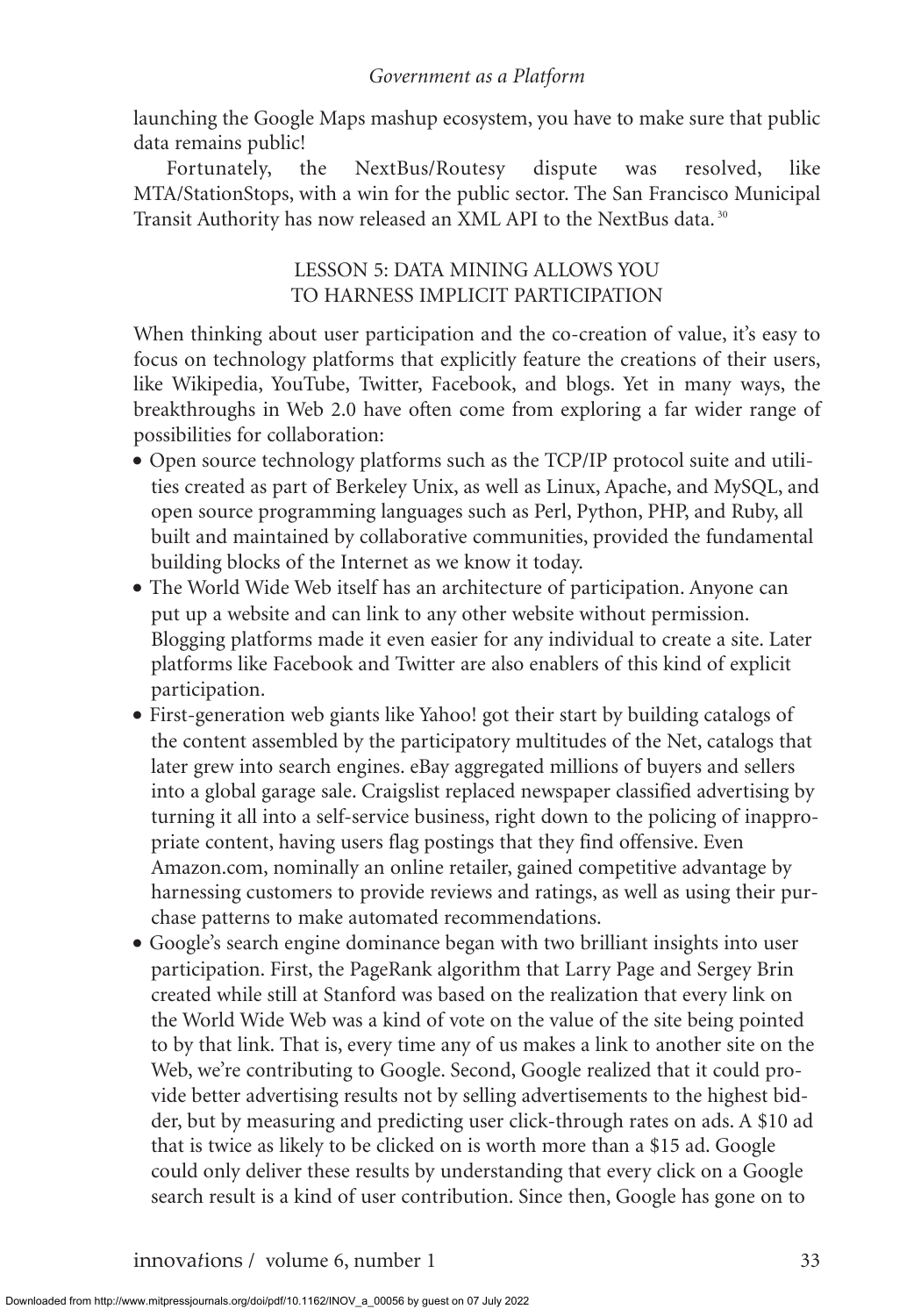## *Government as a Platform*

launching the Google Maps mashup ecosystem, you have to make sure that public data remains public!

Fortunately, the NextBus/Routesy dispute was resolved, like MTA/StationStops, with a win for the public sector. The San Francisco Municipal Transit Authority has now released an XML API to the NextBus data.<sup>30</sup>

## LESSON 5: DATA MINING ALLOWS YOU TO HARNESS IMPLICIT PARTICIPATION

When thinking about user participation and the co-creation of value, it's easy to focus on technology platforms that explicitly feature the creations of their users, like Wikipedia, YouTube, Twitter, Facebook, and blogs. Yet in many ways, the breakthroughs in Web 2.0 have often come from exploring a far wider range of possibilities for collaboration:

- Open source technology platforms such as the TCP/IP protocol suite and utilities created as part of Berkeley Unix, as well as Linux, Apache, and MySQL, and open source programming languages such as Perl, Python, PHP, and Ruby, all built and maintained by collaborative communities, provided the fundamental building blocks of the Internet as we know it today.
- The World Wide Web itself has an architecture of participation. Anyone can put up a website and can link to any other website without permission. Blogging platforms made it even easier for any individual to create a site. Later platforms like Facebook and Twitter are also enablers of this kind of explicit participation.
- First-generation web giants like Yahoo! got their start by building catalogs of the content assembled by the participatory multitudes of the Net, catalogs that later grew into search engines. eBay aggregated millions of buyers and sellers into a global garage sale. Craigslist replaced newspaper classified advertising by turning it all into a self-service business, right down to the policing of inappropriate content, having users flag postings that they find offensive. Even Amazon.com, nominally an online retailer, gained competitive advantage by harnessing customers to provide reviews and ratings, as well as using their purchase patterns to make automated recommendations.
- Google's search engine dominance began with two brilliant insights into user participation. First, the PageRank algorithm that Larry Page and Sergey Brin created while still at Stanford was based on the realization that every link on the World Wide Web was a kind of vote on the value of the site being pointed to by that link. That is, every time any of us makes a link to another site on the Web, we're contributing to Google. Second, Google realized that it could provide better advertising results not by selling advertisements to the highest bidder, but by measuring and predicting user click-through rates on ads. A \$10 ad that is twice as likely to be clicked on is worth more than a \$15 ad. Google could only deliver these results by understanding that every click on a Google search result is a kind of user contribution. Since then, Google has gone on to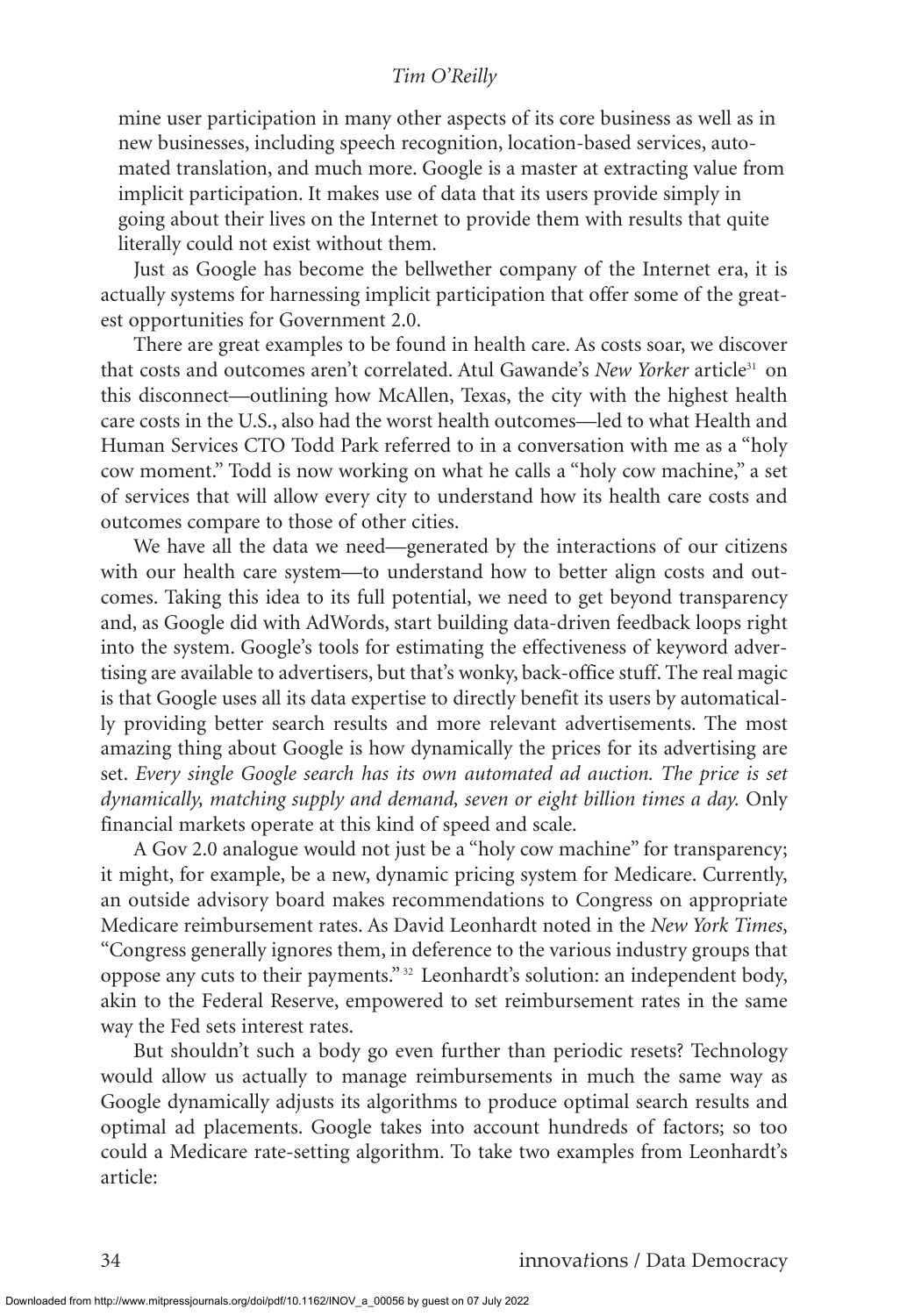mine user participation in many other aspects of its core business as well as in new businesses, including speech recognition, location-based services, automated translation, and much more. Google is a master at extracting value from implicit participation. It makes use of data that its users provide simply in going about their lives on the Internet to provide them with results that quite literally could not exist without them.

Just as Google has become the bellwether company of the Internet era, it is actually systems for harnessing implicit participation that offer some of the greatest opportunities for Government 2.0.

There are great examples to be found in health care. As costs soar, we discover that costs and outcomes aren't correlated. Atul Gawande's *New Yorker* article31 on this disconnect—outlining how McAllen, Texas, the city with the highest health care costs in the U.S., also had the worst health outcomes—led to what Health and Human Services CTO Todd Park referred to in a conversation with me as a "holy cow moment." Todd is now working on what he calls a "holy cow machine," a set of services that will allow every city to understand how its health care costs and outcomes compare to those of other cities.

We have all the data we need—generated by the interactions of our citizens with our health care system—to understand how to better align costs and outcomes. Taking this idea to its full potential, we need to get beyond transparency and, as Google did with AdWords, start building data-driven feedback loops right into the system. Google's tools for estimating the effectiveness of keyword advertising are available to advertisers, but that's wonky, back-office stuff. The real magic is that Google uses all its data expertise to directly benefit its users by automatically providing better search results and more relevant advertisements. The most amazing thing about Google is how dynamically the prices for its advertising are set. *Every single Google search has its own automated ad auction. The price is set dynamically, matching supply and demand, seven or eight billion times a day.* Only financial markets operate at this kind of speed and scale.

A Gov 2.0 analogue would not just be a "holy cow machine" for transparency; it might, for example, be a new, dynamic pricing system for Medicare. Currently, an outside advisory board makes recommendations to Congress on appropriate Medicare reimbursement rates. As David Leonhardt noted in the *New York Times*, "Congress generally ignores them, in deference to the various industry groups that oppose any cuts to their payments." 32 Leonhardt's solution: an independent body, akin to the Federal Reserve, empowered to set reimbursement rates in the same way the Fed sets interest rates.

But shouldn't such a body go even further than periodic resets? Technology would allow us actually to manage reimbursements in much the same way as Google dynamically adjusts its algorithms to produce optimal search results and optimal ad placements. Google takes into account hundreds of factors; so too could a Medicare rate-setting algorithm. To take two examples from Leonhardt's article: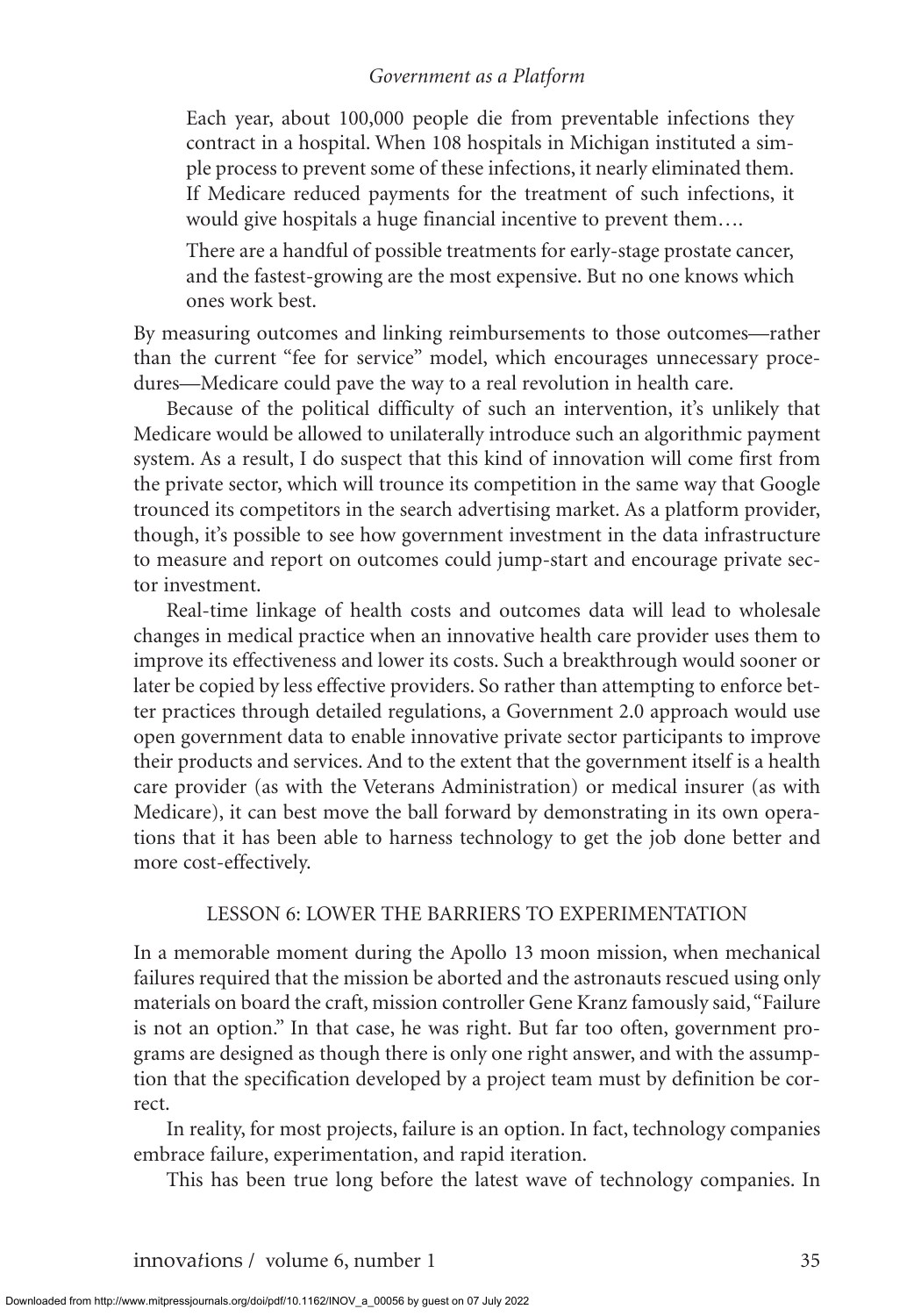Each year, about 100,000 people die from preventable infections they contract in a hospital. When 108 hospitals in Michigan instituted a simple process to prevent some of these infections, it nearly eliminated them. If Medicare reduced payments for the treatment of such infections, it would give hospitals a huge financial incentive to prevent them….

There are a handful of possible treatments for early-stage prostate cancer, and the fastest-growing are the most expensive. But no one knows which ones work best.

By measuring outcomes and linking reimbursements to those outcomes—rather than the current "fee for service" model, which encourages unnecessary procedures—Medicare could pave the way to a real revolution in health care.

Because of the political difficulty of such an intervention, it's unlikely that Medicare would be allowed to unilaterally introduce such an algorithmic payment system. As a result, I do suspect that this kind of innovation will come first from the private sector, which will trounce its competition in the same way that Google trounced its competitors in the search advertising market. As a platform provider, though, it's possible to see how government investment in the data infrastructure to measure and report on outcomes could jump-start and encourage private sector investment.

Real-time linkage of health costs and outcomes data will lead to wholesale changes in medical practice when an innovative health care provider uses them to improve its effectiveness and lower its costs. Such a breakthrough would sooner or later be copied by less effective providers. So rather than attempting to enforce better practices through detailed regulations, a Government 2.0 approach would use open government data to enable innovative private sector participants to improve their products and services. And to the extent that the government itself is a health care provider (as with the Veterans Administration) or medical insurer (as with Medicare), it can best move the ball forward by demonstrating in its own operations that it has been able to harness technology to get the job done better and more cost-effectively.

## LESSON 6: LOWER THE BARRIERS TO EXPERIMENTATION

In a memorable moment during the Apollo 13 moon mission, when mechanical failures required that the mission be aborted and the astronauts rescued using only materials on board the craft, mission controller Gene Kranz famously said, "Failure is not an option." In that case, he was right. But far too often, government programs are designed as though there is only one right answer, and with the assumption that the specification developed by a project team must by definition be correct.

In reality, for most projects, failure is an option. In fact, technology companies embrace failure, experimentation, and rapid iteration.

This has been true long before the latest wave of technology companies. In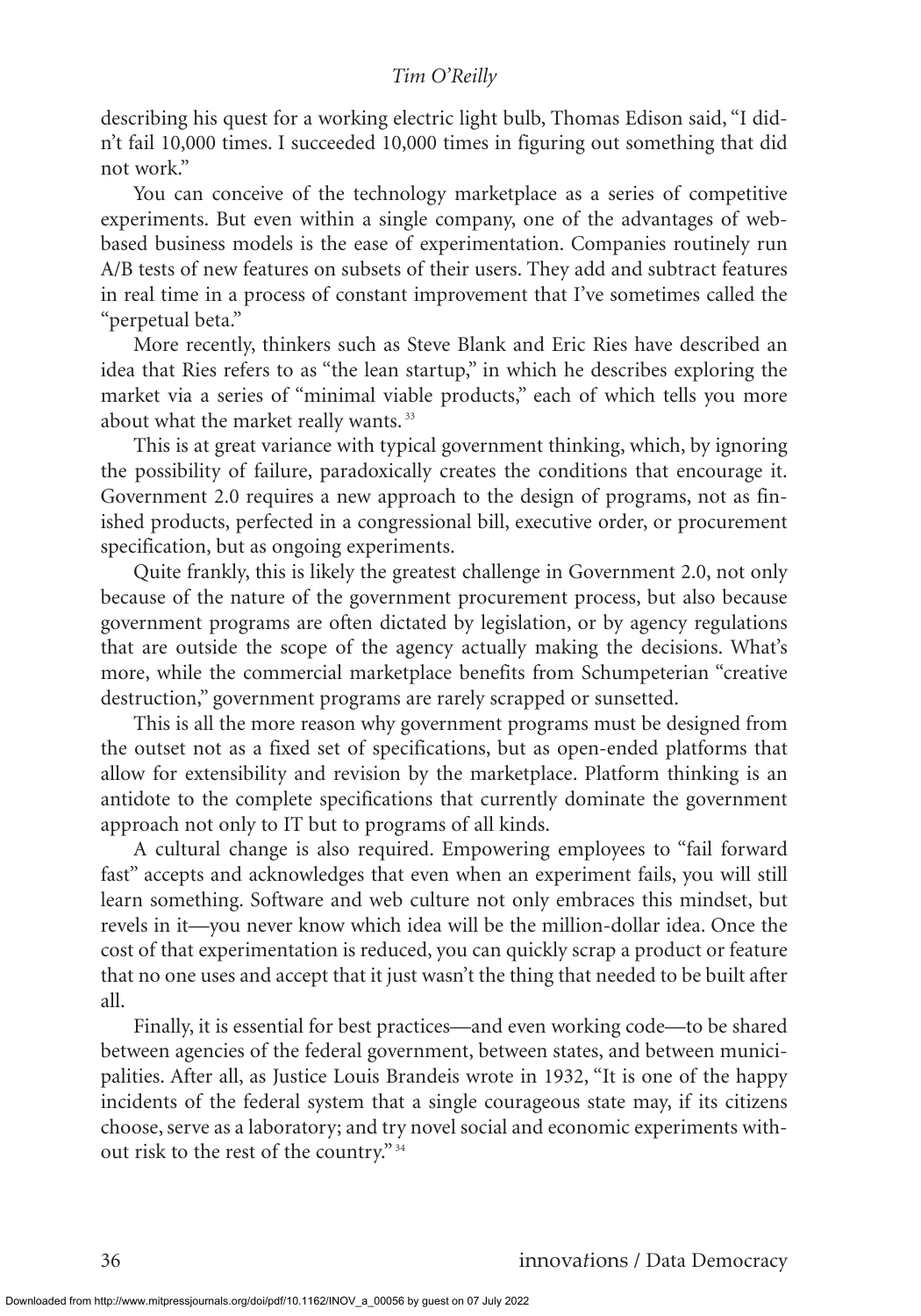describing his quest for a working electric light bulb, Thomas Edison said, "I didn't fail 10,000 times. I succeeded 10,000 times in figuring out something that did not work."

You can conceive of the technology marketplace as a series of competitive experiments. But even within a single company, one of the advantages of webbased business models is the ease of experimentation. Companies routinely run A/B tests of new features on subsets of their users. They add and subtract features in real time in a process of constant improvement that I've sometimes called the "perpetual beta."

More recently, thinkers such as Steve Blank and Eric Ries have described an idea that Ries refers to as "the lean startup," in which he describes exploring the market via a series of "minimal viable products," each of which tells you more about what the market really wants.<sup>33</sup>

This is at great variance with typical government thinking, which, by ignoring the possibility of failure, paradoxically creates the conditions that encourage it. Government 2.0 requires a new approach to the design of programs, not as finished products, perfected in a congressional bill, executive order, or procurement specification, but as ongoing experiments.

Quite frankly, this is likely the greatest challenge in Government 2.0, not only because of the nature of the government procurement process, but also because government programs are often dictated by legislation, or by agency regulations that are outside the scope of the agency actually making the decisions. What's more, while the commercial marketplace benefits from Schumpeterian "creative destruction," government programs are rarely scrapped or sunsetted.

This is all the more reason why government programs must be designed from the outset not as a fixed set of specifications, but as open-ended platforms that allow for extensibility and revision by the marketplace. Platform thinking is an antidote to the complete specifications that currently dominate the government approach not only to IT but to programs of all kinds.

A cultural change is also required. Empowering employees to "fail forward fast" accepts and acknowledges that even when an experiment fails, you will still learn something. Software and web culture not only embraces this mindset, but revels in it—you never know which idea will be the million-dollar idea. Once the cost of that experimentation is reduced, you can quickly scrap a product or feature that no one uses and accept that it just wasn't the thing that needed to be built after all.

Finally, it is essential for best practices—and even working code—to be shared between agencies of the federal government, between states, and between municipalities. After all, as Justice Louis Brandeis wrote in 1932, "It is one of the happy incidents of the federal system that a single courageous state may, if its citizens choose, serve as a laboratory; and try novel social and economic experiments without risk to the rest of the country." <sup>34</sup>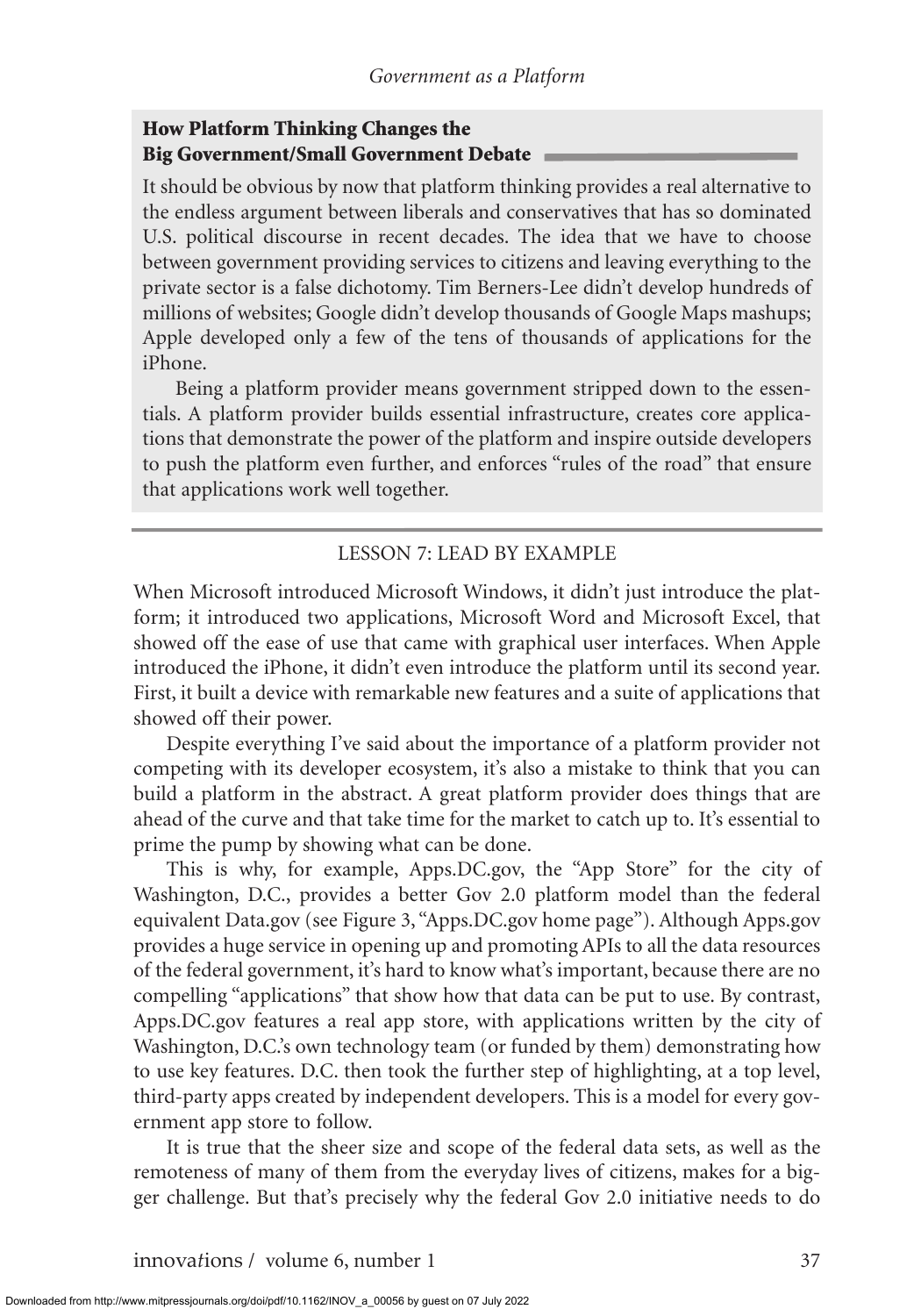## **How Platform Thinking Changes the Big Government/Small Government Debate**

It should be obvious by now that platform thinking provides a real alternative to the endless argument between liberals and conservatives that has so dominated U.S. political discourse in recent decades. The idea that we have to choose between government providing services to citizens and leaving everything to the private sector is a false dichotomy. Tim Berners-Lee didn't develop hundreds of millions of websites; Google didn't develop thousands of Google Maps mashups; Apple developed only a few of the tens of thousands of applications for the iPhone.

Being a platform provider means government stripped down to the essentials. A platform provider builds essential infrastructure, creates core applications that demonstrate the power of the platform and inspire outside developers to push the platform even further, and enforces "rules of the road" that ensure that applications work well together.

## LESSON 7: LEAD BY EXAMPLE

When Microsoft introduced Microsoft Windows, it didn't just introduce the platform; it introduced two applications, Microsoft Word and Microsoft Excel, that showed off the ease of use that came with graphical user interfaces. When Apple introduced the iPhone, it didn't even introduce the platform until its second year. First, it built a device with remarkable new features and a suite of applications that showed off their power.

Despite everything I've said about the importance of a platform provider not competing with its developer ecosystem, it's also a mistake to think that you can build a platform in the abstract. A great platform provider does things that are ahead of the curve and that take time for the market to catch up to. It's essential to prime the pump by showing what can be done.

This is why, for example, Apps.DC.gov, the "App Store" for the city of Washington, D.C., provides a better Gov 2.0 platform model than the federal equivalent Data.gov (see Figure 3, "Apps.DC.gov home page"). Although Apps.gov provides a huge service in opening up and promoting APIs to all the data resources of the federal government, it's hard to know what's important, because there are no compelling "applications" that show how that data can be put to use. By contrast, Apps.DC.gov features a real app store, with applications written by the city of Washington, D.C.'s own technology team (or funded by them) demonstrating how to use key features. D.C. then took the further step of highlighting, at a top level, third-party apps created by independent developers. This is a model for every government app store to follow.

It is true that the sheer size and scope of the federal data sets, as well as the remoteness of many of them from the everyday lives of citizens, makes for a bigger challenge. But that's precisely why the federal Gov 2.0 initiative needs to do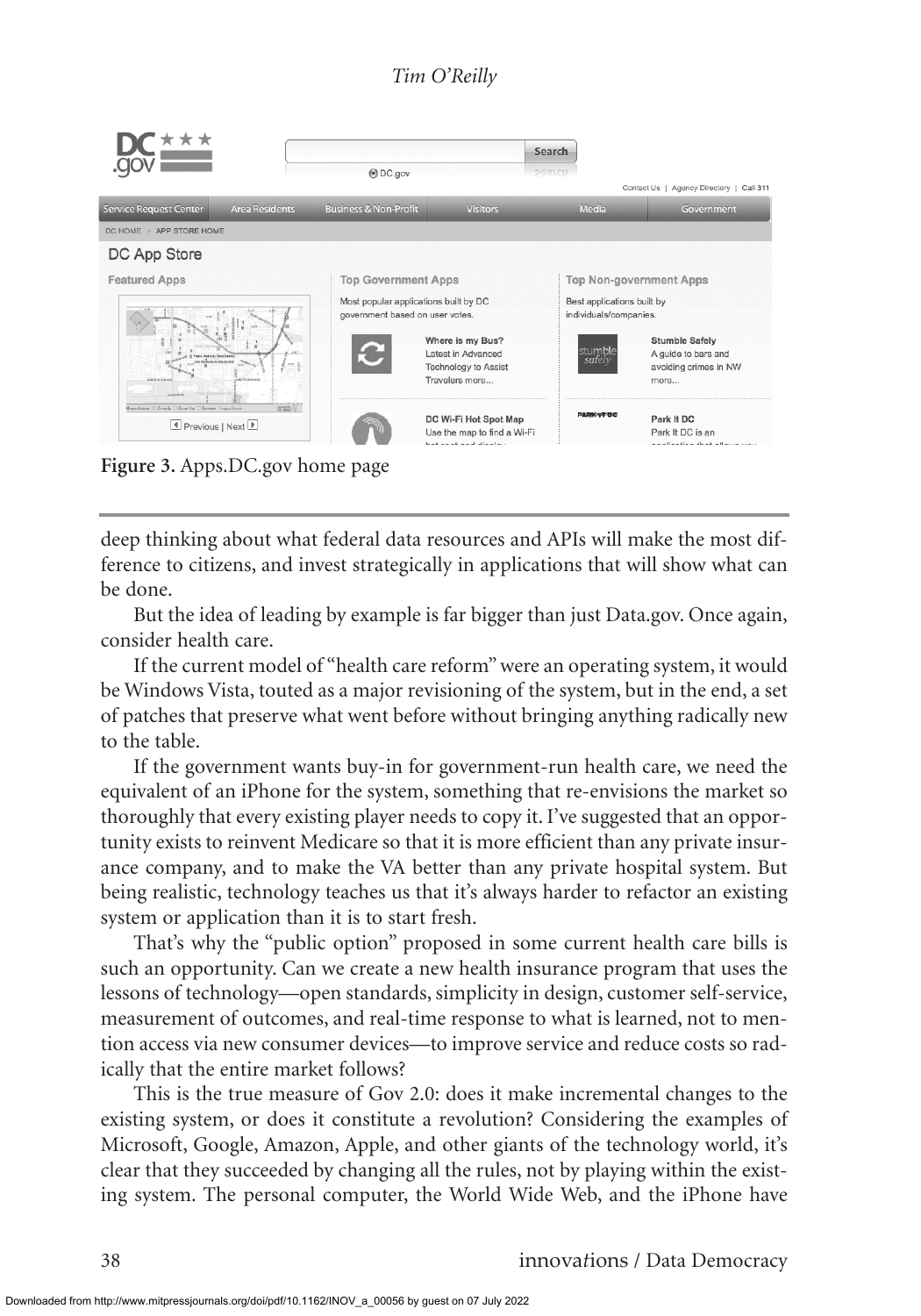

**Figure 3.** Apps.DC.gov home page

deep thinking about what federal data resources and APIs will make the most difference to citizens, and invest strategically in applications that will show what can be done.

But the idea of leading by example is far bigger than just Data.gov. Once again, consider health care.

If the current model of "health care reform" were an operating system, it would be Windows Vista, touted as a major revisioning of the system, but in the end, a set of patches that preserve what went before without bringing anything radically new to the table.

If the government wants buy-in for government-run health care, we need the equivalent of an iPhone for the system, something that re-envisions the market so thoroughly that every existing player needs to copy it. I've suggested that an opportunity exists to reinvent Medicare so that it is more efficient than any private insurance company, and to make the VA better than any private hospital system. But being realistic, technology teaches us that it's always harder to refactor an existing system or application than it is to start fresh.

That's why the "public option" proposed in some current health care bills is such an opportunity. Can we create a new health insurance program that uses the lessons of technology—open standards, simplicity in design, customer self-service, measurement of outcomes, and real-time response to what is learned, not to mention access via new consumer devices—to improve service and reduce costs so radically that the entire market follows?

This is the true measure of Gov 2.0: does it make incremental changes to the existing system, or does it constitute a revolution? Considering the examples of Microsoft, Google, Amazon, Apple, and other giants of the technology world, it's clear that they succeeded by changing all the rules, not by playing within the existing system. The personal computer, the World Wide Web, and the iPhone have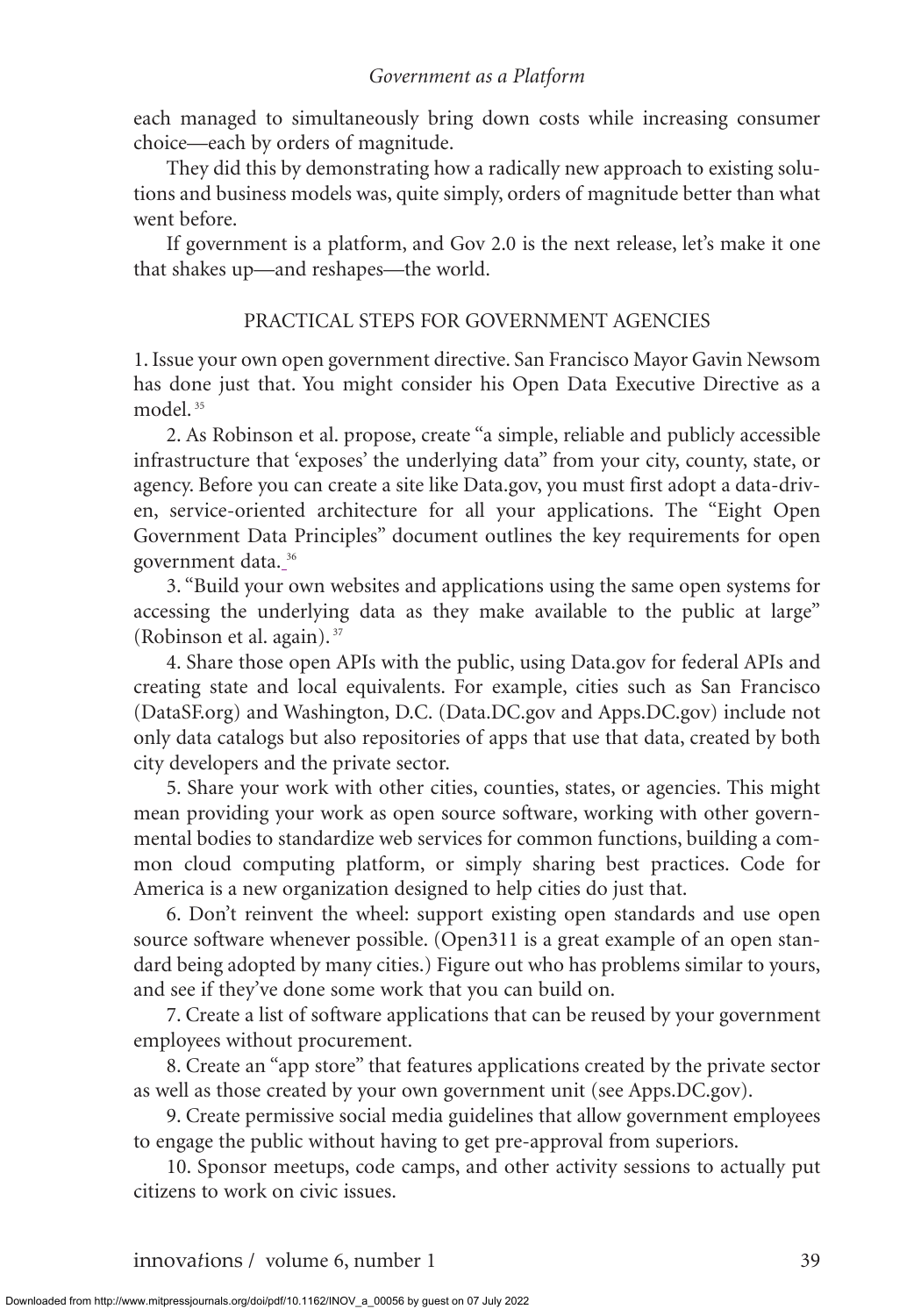each managed to simultaneously bring down costs while increasing consumer choice—each by orders of magnitude.

They did this by demonstrating how a radically new approach to existing solutions and business models was, quite simply, orders of magnitude better than what went before.

If government is a platform, and Gov 2.0 is the next release, let's make it one that shakes up—and reshapes—the world.

## PRACTICAL STEPS FOR GOVERNMENT AGENCIES

1. Issue your own open government directive. San Francisco Mayor Gavin Newsom has done just that. You might consider his Open Data Executive Directive as a model. <sup>35</sup>

2. As Robinson et al. propose, create "a simple, reliable and publicly accessible infrastructure that 'exposes' the underlying data" from your city, county, state, or agency. Before you can create a site like Data.gov, you must first adopt a data-driven, service-oriented architecture for all your applications. The "Eight Open Government Data Principles" document outlines the key requirements for open government data.<sup>36</sup>

3. "Build your own websites and applications using the same open systems for accessing the underlying data as they make available to the public at large" (Robinson et al. again). <sup>37</sup>

4. Share those open APIs with the public, using Data.gov for federal APIs and creating state and local equivalents. For example, cities such as San Francisco (DataSF.org) and Washington, D.C. (Data.DC.gov and Apps.DC.gov) include not only data catalogs but also repositories of apps that use that data, created by both city developers and the private sector.

5. Share your work with other cities, counties, states, or agencies. This might mean providing your work as open source software, working with other governmental bodies to standardize web services for common functions, building a common cloud computing platform, or simply sharing best practices. Code for America is a new organization designed to help cities do just that.

6. Don't reinvent the wheel: support existing open standards and use open source software whenever possible. (Open311 is a great example of an open standard being adopted by many cities.) Figure out who has problems similar to yours, and see if they've done some work that you can build on.

7. Create a list of software applications that can be reused by your government employees without procurement.

8. Create an "app store" that features applications created by the private sector as well as those created by your own government unit (see Apps.DC.gov).

9. Create permissive social media guidelines that allow government employees to engage the public without having to get pre-approval from superiors.

10. Sponsor meetups, code camps, and other activity sessions to actually put citizens to work on civic issues.